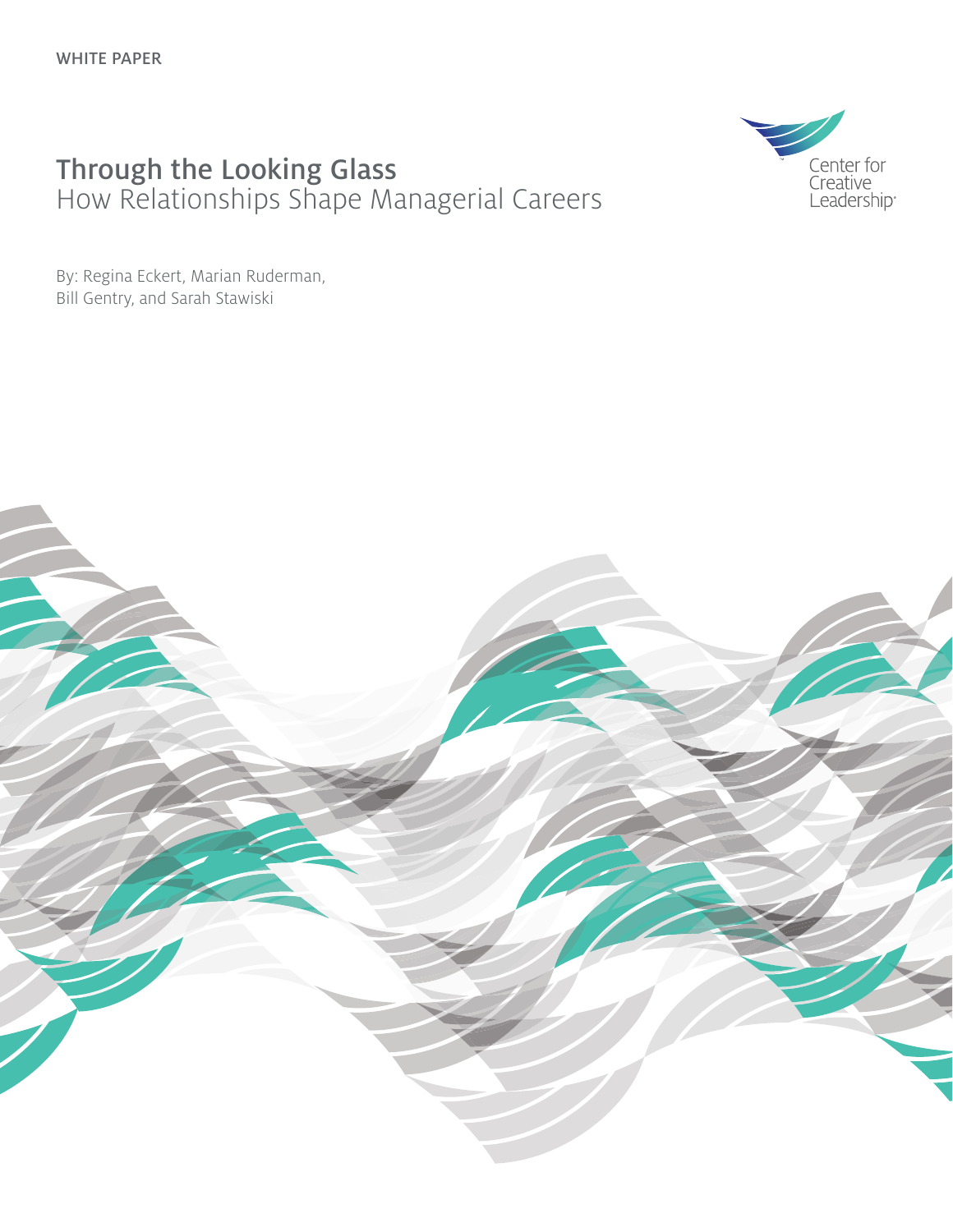#### Through the Looking Glass How Relationships Shape Managerial Careers



By: Regina Eckert, Marian Ruderman, Bill Gentry, and Sarah Stawiski

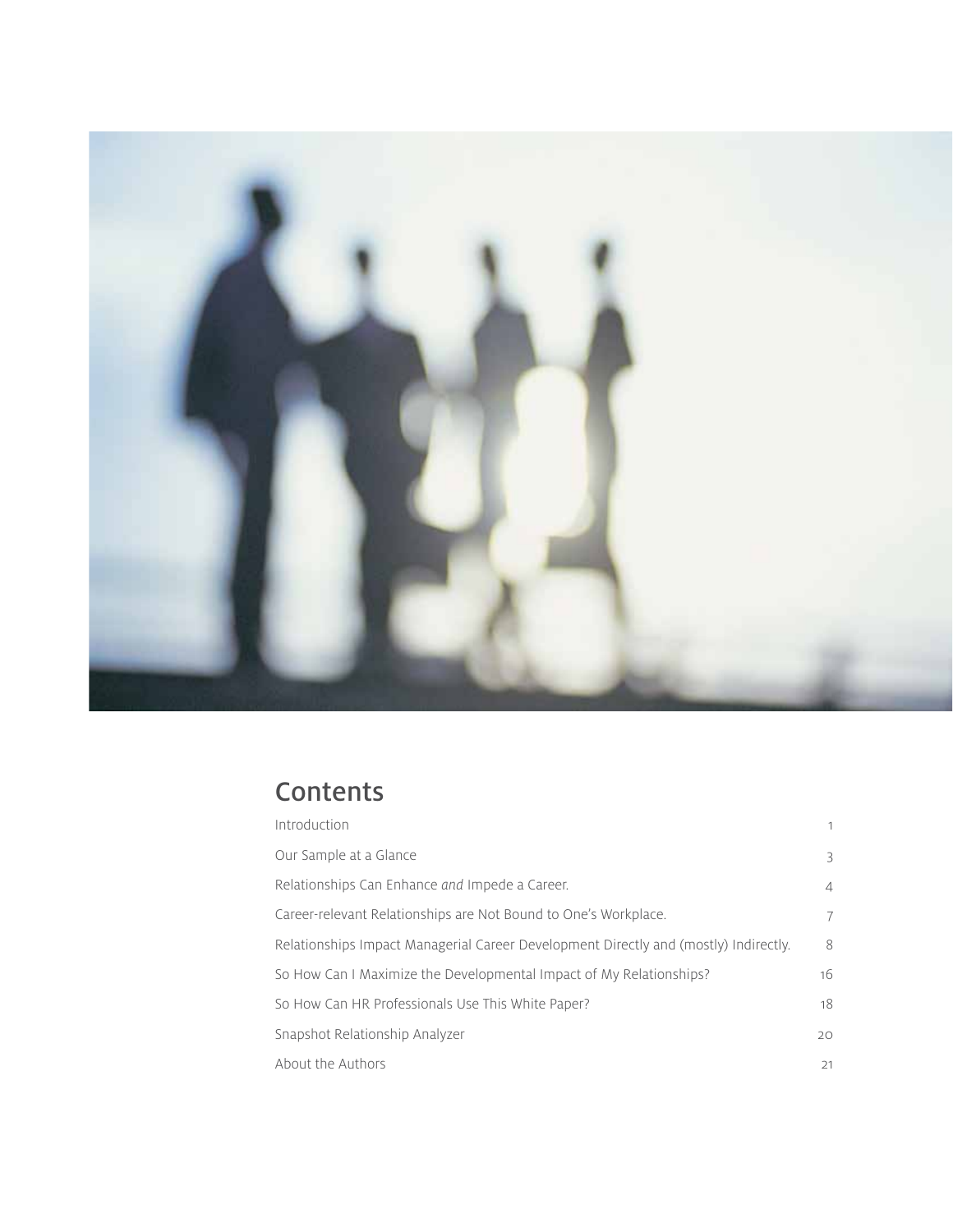

### **Contents**

| Introduction                                                                         | 1              |  |  |
|--------------------------------------------------------------------------------------|----------------|--|--|
| Our Sample at a Glance                                                               | 3              |  |  |
| Relationships Can Enhance and Impede a Career.                                       | $\overline{4}$ |  |  |
| Career-relevant Relationships are Not Bound to One's Workplace.                      | 7              |  |  |
| Relationships Impact Managerial Career Development Directly and (mostly) Indirectly. | 8              |  |  |
| So How Can I Maximize the Developmental Impact of My Relationships?                  | 16             |  |  |
| So How Can HR Professionals Use This White Paper?                                    |                |  |  |
| Snapshot Relationship Analyzer                                                       | $20^{\circ}$   |  |  |
| About the Authors                                                                    | 21             |  |  |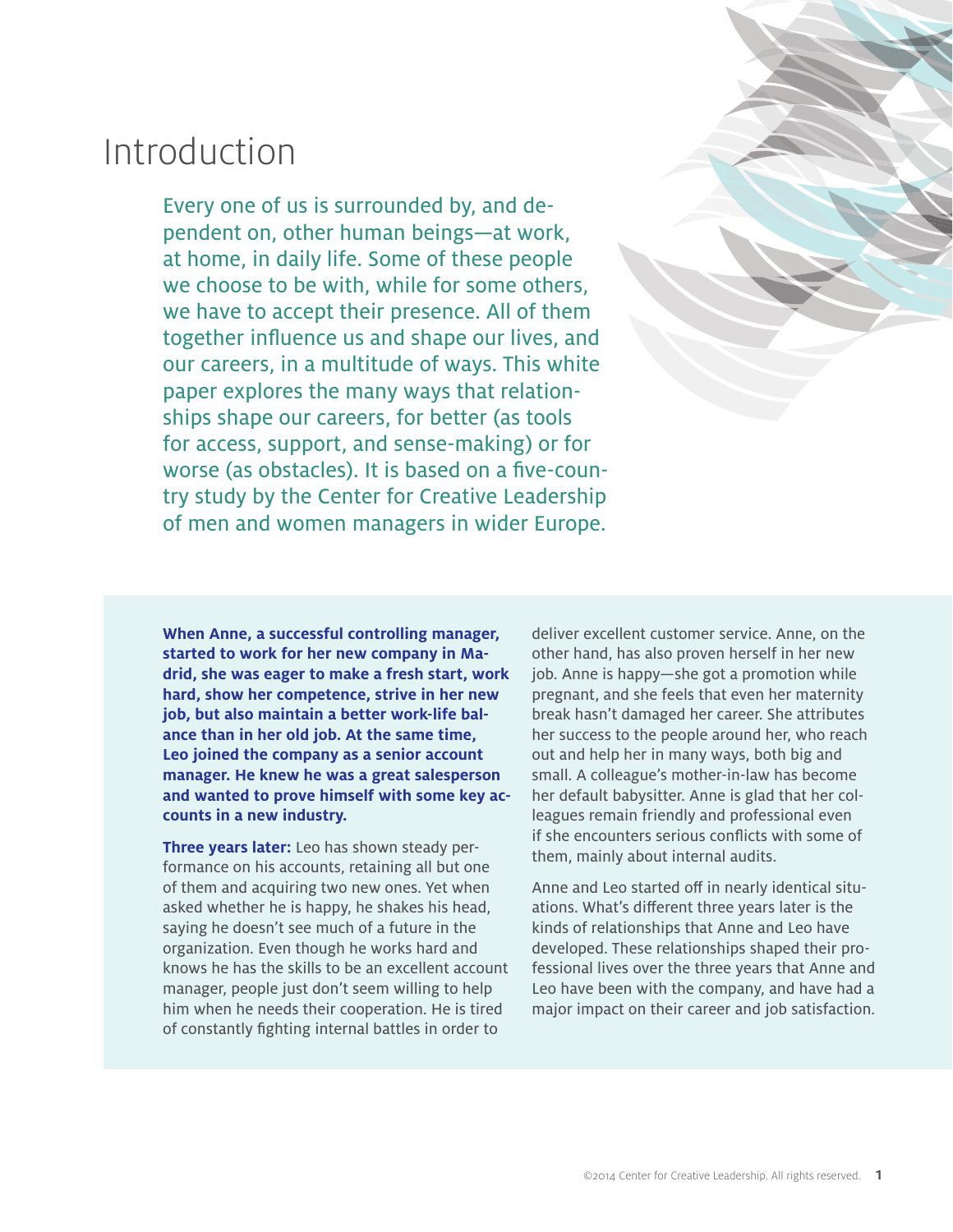## Introduction

Every one of us is surrounded by, and dependent on, other human beings—at work, at home, in daily life. Some of these people we choose to be with, while for some others, we have to accept their presence. All of them together influence us and shape our lives, and our careers, in a multitude of ways. This white paper explores the many ways that relationships shape our careers, for better (as tools for access, support, and sense-making) or for worse (as obstacles). It is based on a five-country study by the Center for Creative Leadership of men and women managers in wider Europe.

> deliver excellent customer service. Anne, on the other hand, has also proven herself in her new job. Anne is happy—she got a promotion while pregnant, and she feels that even her maternity break hasn't damaged her career. She attributes her success to the people around her, who reach out and help her in many ways, both big and small. A colleague's mother-in-law has become her default babysitter. Anne is glad that her colleagues remain friendly and professional even if she encounters serious conflicts with some of them, mainly about internal audits.

Anne and Leo started off in nearly identical situations. What's different three years later is the kinds of relationships that Anne and Leo have developed. These relationships shaped their professional lives over the three years that Anne and Leo have been with the company, and have had a major impact on their career and job satisfaction.

**When Anne, a successful controlling manager, started to work for her new company in Madrid, she was eager to make a fresh start, work hard, show her competence, strive in her new job, but also maintain a better work-life balance than in her old job. At the same time, Leo joined the company as a senior account manager. He knew he was a great salesperson and wanted to prove himself with some key accounts in a new industry.** 

**Three years later:** Leo has shown steady performance on his accounts, retaining all but one of them and acquiring two new ones. Yet when asked whether he is happy, he shakes his head, saying he doesn't see much of a future in the organization. Even though he works hard and knows he has the skills to be an excellent account manager, people just don't seem willing to help him when he needs their cooperation. He is tired of constantly fighting internal battles in order to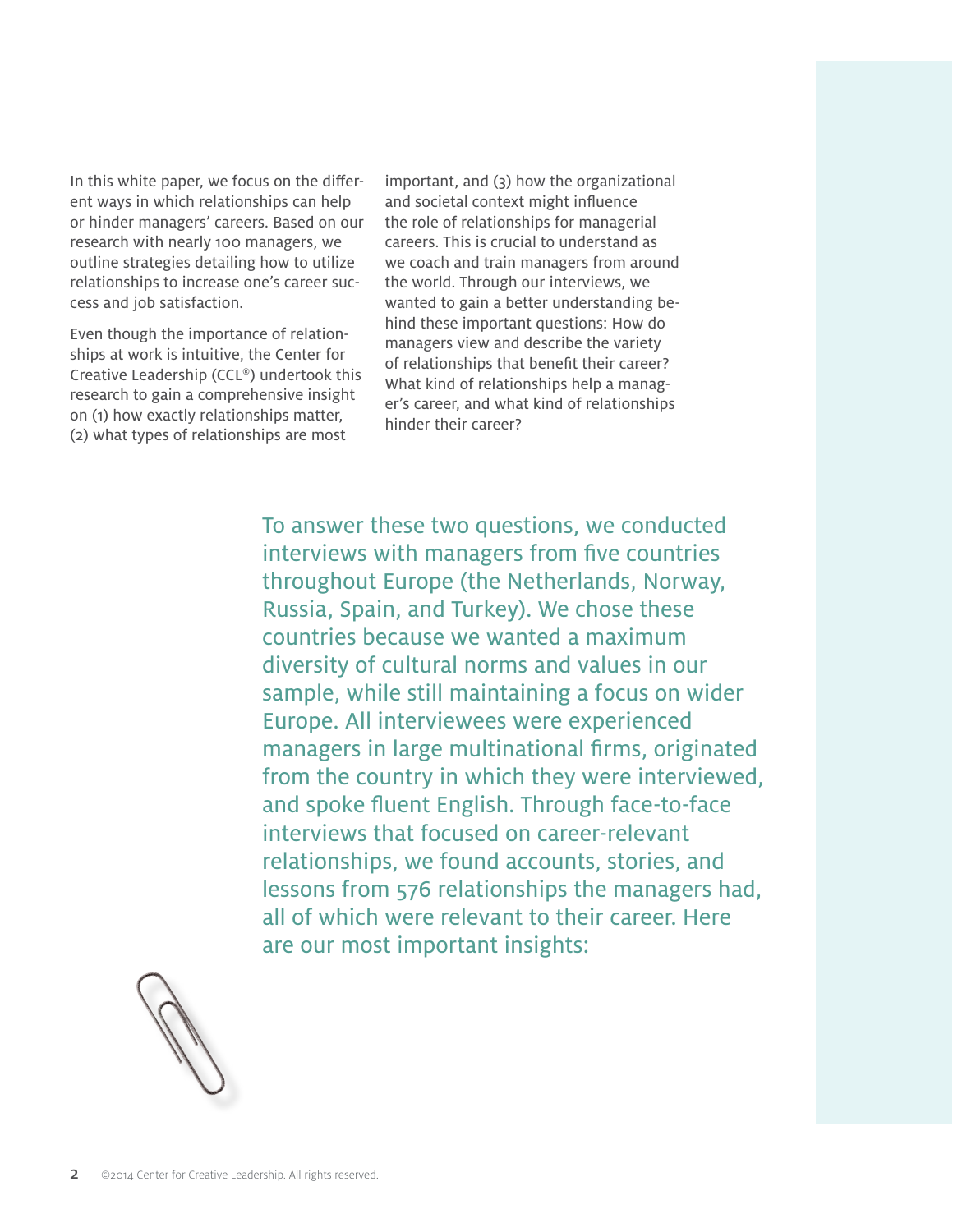In this white paper, we focus on the different ways in which relationships can help or hinder managers' careers. Based on our research with nearly 100 managers, we outline strategies detailing how to utilize relationships to increase one's career success and job satisfaction.

Even though the importance of relationships at work is intuitive, the Center for Creative Leadership (CCL®) undertook this research to gain a comprehensive insight on (1) how exactly relationships matter, (2) what types of relationships are most

important, and (3) how the organizational and societal context might influence the role of relationships for managerial careers. This is crucial to understand as we coach and train managers from around the world. Through our interviews, we wanted to gain a better understanding behind these important questions: How do managers view and describe the variety of relationships that benefit their career? What kind of relationships help a manager's career, and what kind of relationships hinder their career?

To answer these two questions, we conducted interviews with managers from five countries throughout Europe (the Netherlands, Norway, Russia, Spain, and Turkey). We chose these countries because we wanted a maximum diversity of cultural norms and values in our sample, while still maintaining a focus on wider Europe. All interviewees were experienced managers in large multinational firms, originated from the country in which they were interviewed, and spoke fluent English. Through face-to-face interviews that focused on career-relevant relationships, we found accounts, stories, and lessons from 576 relationships the managers had, all of which were relevant to their career. Here are our most important insights:

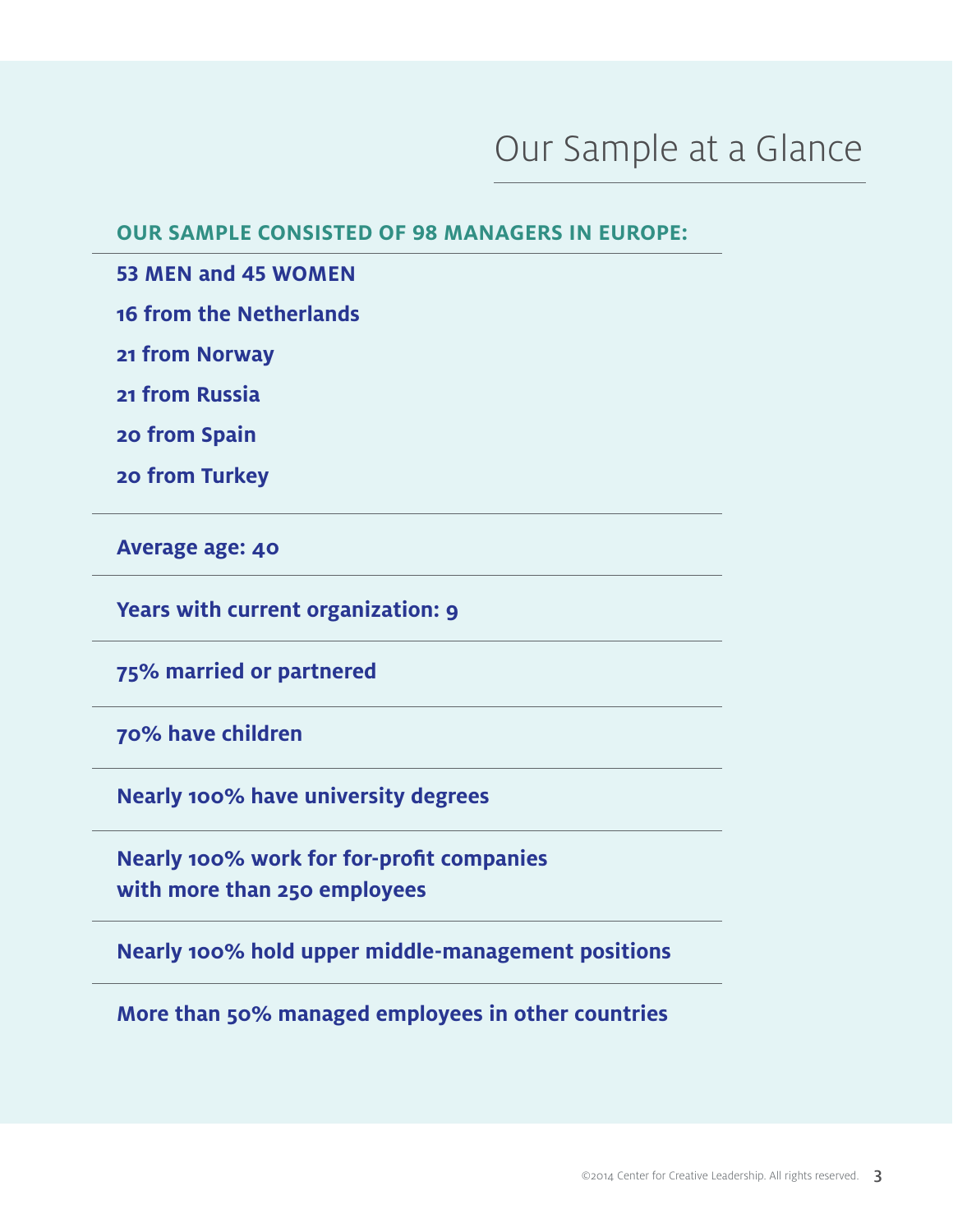## Our Sample at a Glance

**OUR SAMPLE CONSISTED OF 98 MANAGERS IN EUROPE:**

**53 MEN and 45 WOMEN**

**16 from the Netherlands**

**21 from Norway**

**21 from Russia**

**20 from Spain**

**20 from Turkey**

**Average age: 40**

**Years with current organization: 9**

**75% married or partnered**

**70% have children**

**Nearly 100% have university degrees**

**Nearly 100% work for for-profit companies with more than 250 employees**

**Nearly 100% hold upper middle-management positions**

**More than 50% managed employees in other countries**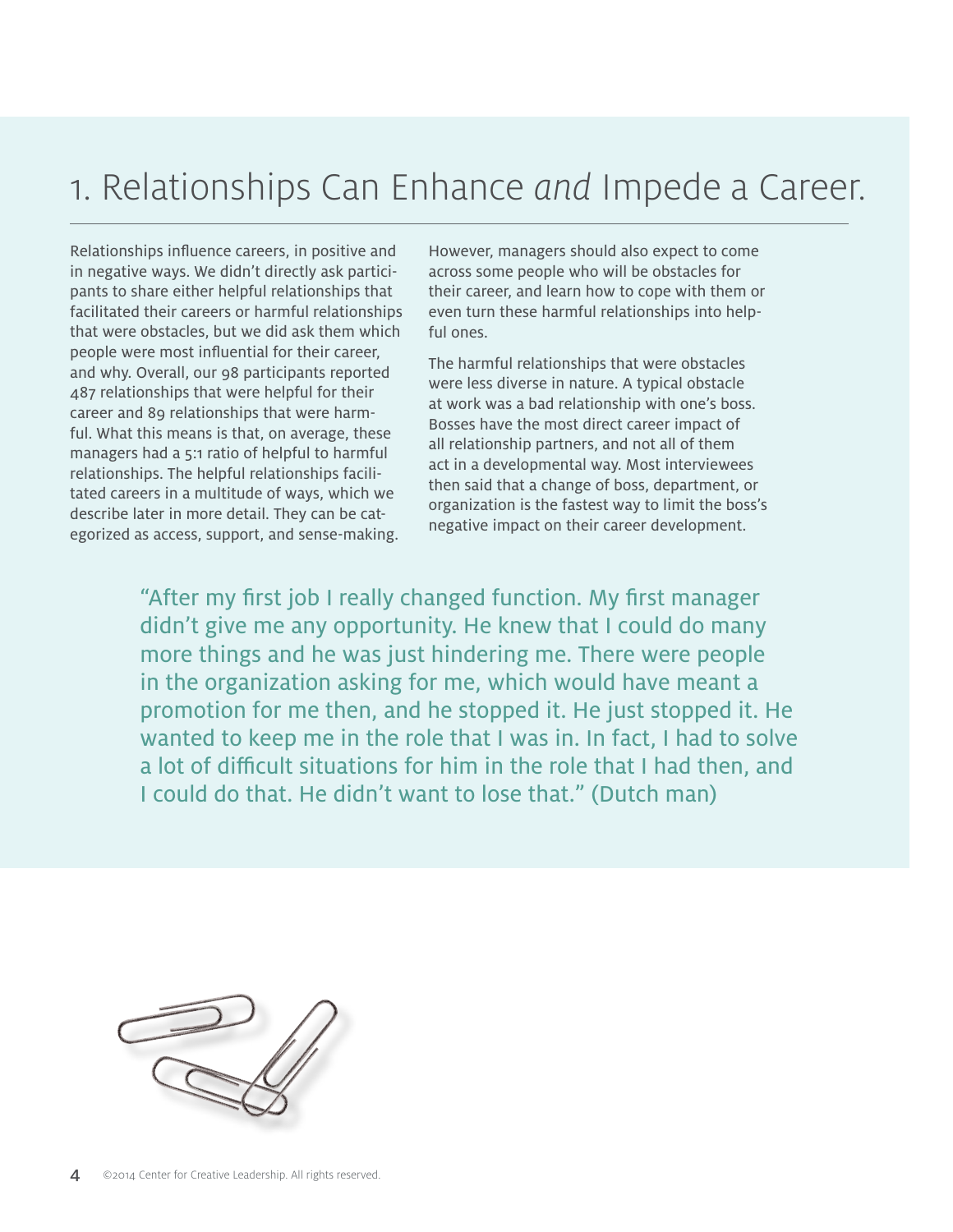## 1. Relationships Can Enhance *and* Impede a Career.

Relationships influence careers, in positive and in negative ways. We didn't directly ask participants to share either helpful relationships that facilitated their careers or harmful relationships that were obstacles, but we did ask them which people were most influential for their career, and why. Overall, our 98 participants reported 487 relationships that were helpful for their career and 89 relationships that were harmful. What this means is that, on average, these managers had a 5:1 ratio of helpful to harmful relationships. The helpful relationships facilitated careers in a multitude of ways, which we describe later in more detail. They can be categorized as access, support, and sense-making.

However, managers should also expect to come across some people who will be obstacles for their career, and learn how to cope with them or even turn these harmful relationships into helpful ones.

The harmful relationships that were obstacles were less diverse in nature. A typical obstacle at work was a bad relationship with one's boss. Bosses have the most direct career impact of all relationship partners, and not all of them act in a developmental way. Most interviewees then said that a change of boss, department, or organization is the fastest way to limit the boss's negative impact on their career development.

"After my first job I really changed function. My first manager didn't give me any opportunity. He knew that I could do many more things and he was just hindering me. There were people in the organization asking for me, which would have meant a promotion for me then, and he stopped it. He just stopped it. He wanted to keep me in the role that I was in. In fact, I had to solve a lot of difficult situations for him in the role that I had then, and I could do that. He didn't want to lose that." (Dutch man)

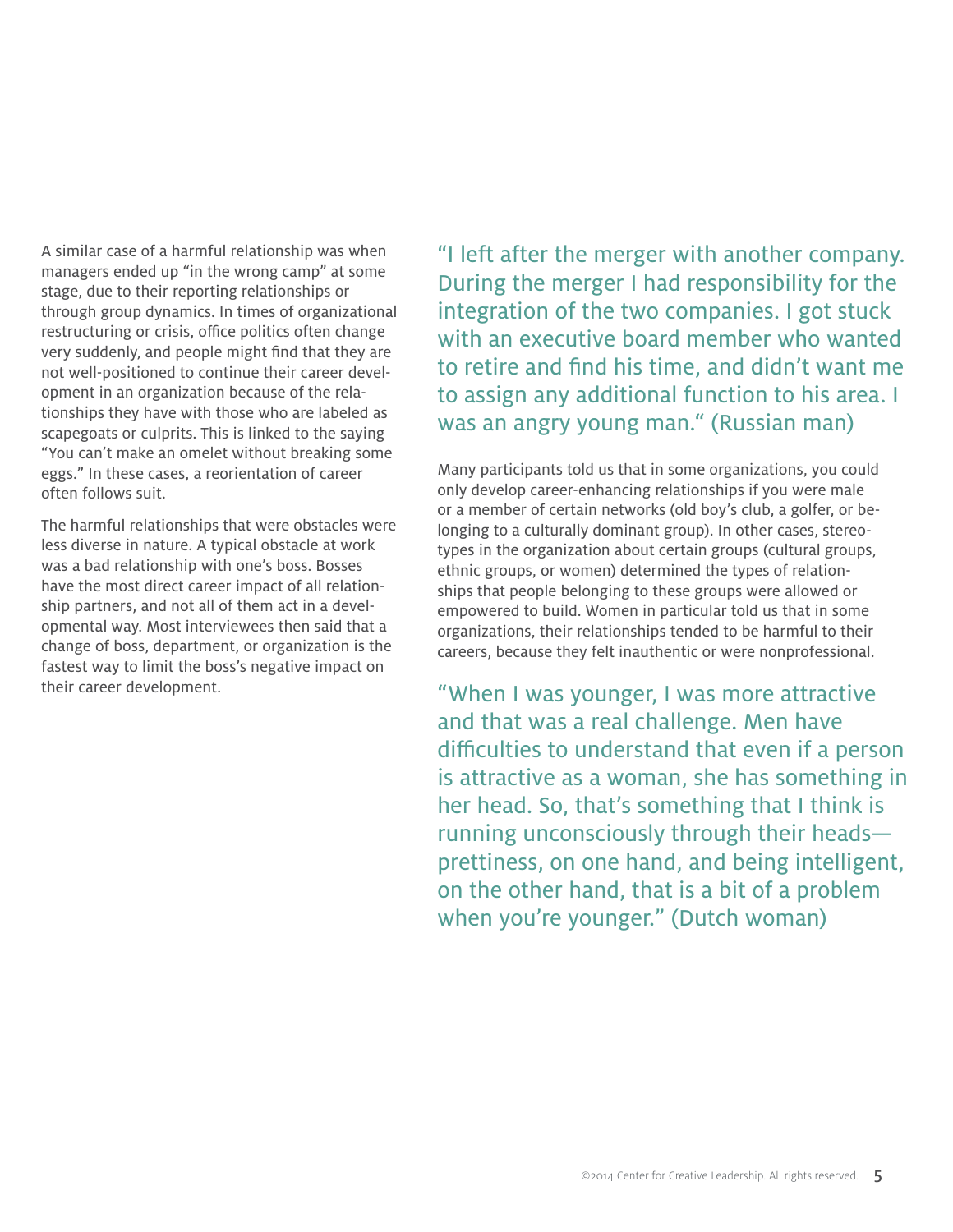A similar case of a harmful relationship was when managers ended up "in the wrong camp" at some stage, due to their reporting relationships or through group dynamics. In times of organizational restructuring or crisis, office politics often change very suddenly, and people might find that they are not well-positioned to continue their career development in an organization because of the relationships they have with those who are labeled as scapegoats or culprits. This is linked to the saying "You can't make an omelet without breaking some eggs." In these cases, a reorientation of career often follows suit.

The harmful relationships that were obstacles were less diverse in nature. A typical obstacle at work was a bad relationship with one's boss. Bosses have the most direct career impact of all relationship partners, and not all of them act in a developmental way. Most interviewees then said that a change of boss, department, or organization is the fastest way to limit the boss's negative impact on their career development.

"I left after the merger with another company. During the merger I had responsibility for the integration of the two companies. I got stuck with an executive board member who wanted to retire and find his time, and didn't want me to assign any additional function to his area. I was an angry young man." (Russian man)

Many participants told us that in some organizations, you could only develop career-enhancing relationships if you were male or a member of certain networks (old boy's club, a golfer, or belonging to a culturally dominant group). In other cases, stereotypes in the organization about certain groups (cultural groups, ethnic groups, or women) determined the types of relationships that people belonging to these groups were allowed or empowered to build. Women in particular told us that in some organizations, their relationships tended to be harmful to their careers, because they felt inauthentic or were nonprofessional.

"When I was younger, I was more attractive and that was a real challenge. Men have difficulties to understand that even if a person is attractive as a woman, she has something in her head. So, that's something that I think is running unconsciously through their heads prettiness, on one hand, and being intelligent, on the other hand, that is a bit of a problem when you're younger." (Dutch woman)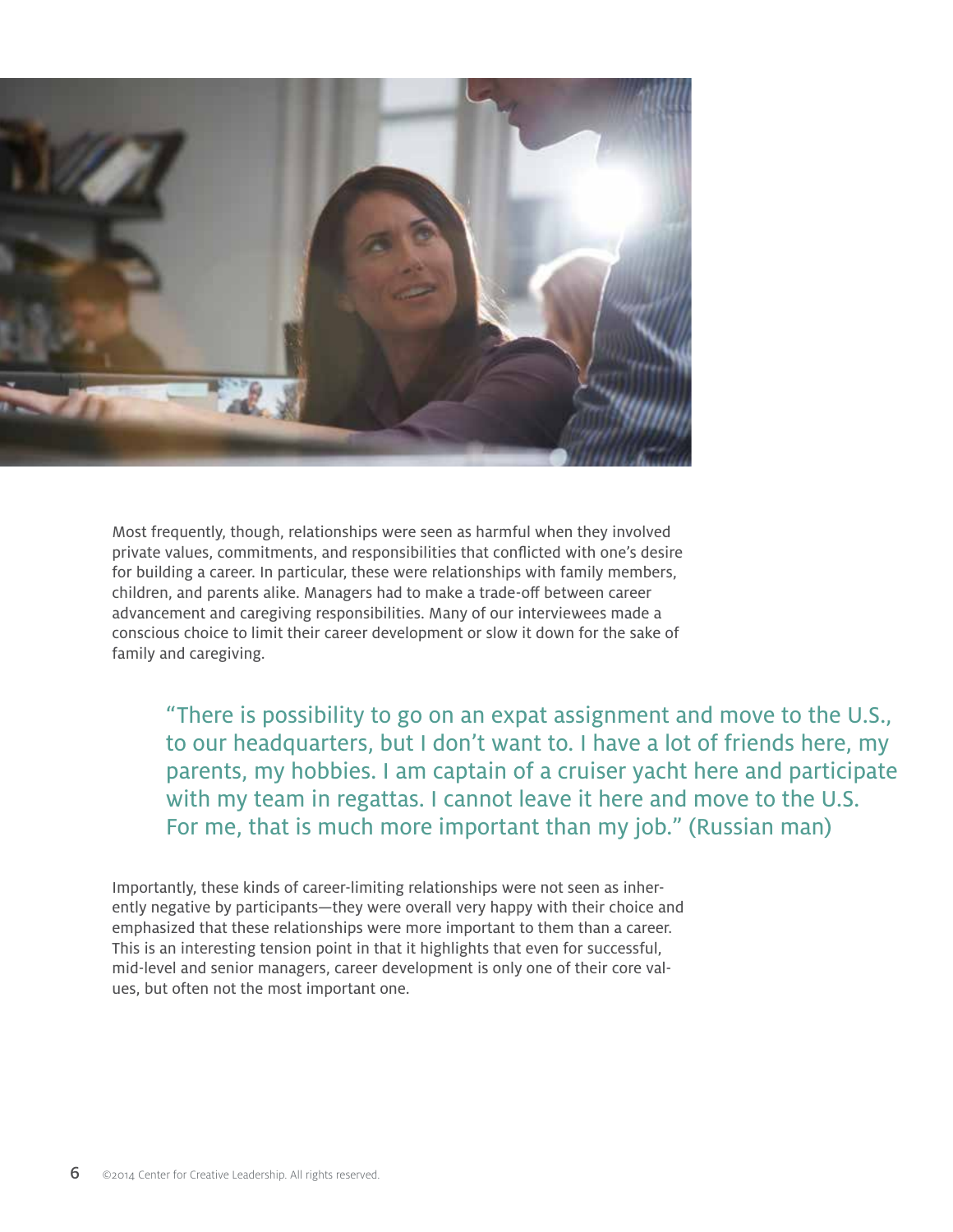

Most frequently, though, relationships were seen as harmful when they involved private values, commitments, and responsibilities that conflicted with one's desire for building a career. In particular, these were relationships with family members, children, and parents alike. Managers had to make a trade-off between career advancement and caregiving responsibilities. Many of our interviewees made a conscious choice to limit their career development or slow it down for the sake of family and caregiving.

"There is possibility to go on an expat assignment and move to the U.S., to our headquarters, but I don't want to. I have a lot of friends here, my parents, my hobbies. I am captain of a cruiser yacht here and participate with my team in regattas. I cannot leave it here and move to the U.S. For me, that is much more important than my job." (Russian man)

Importantly, these kinds of career-limiting relationships were not seen as inherently negative by participants—they were overall very happy with their choice and emphasized that these relationships were more important to them than a career. This is an interesting tension point in that it highlights that even for successful, mid-level and senior managers, career development is only one of their core values, but often not the most important one.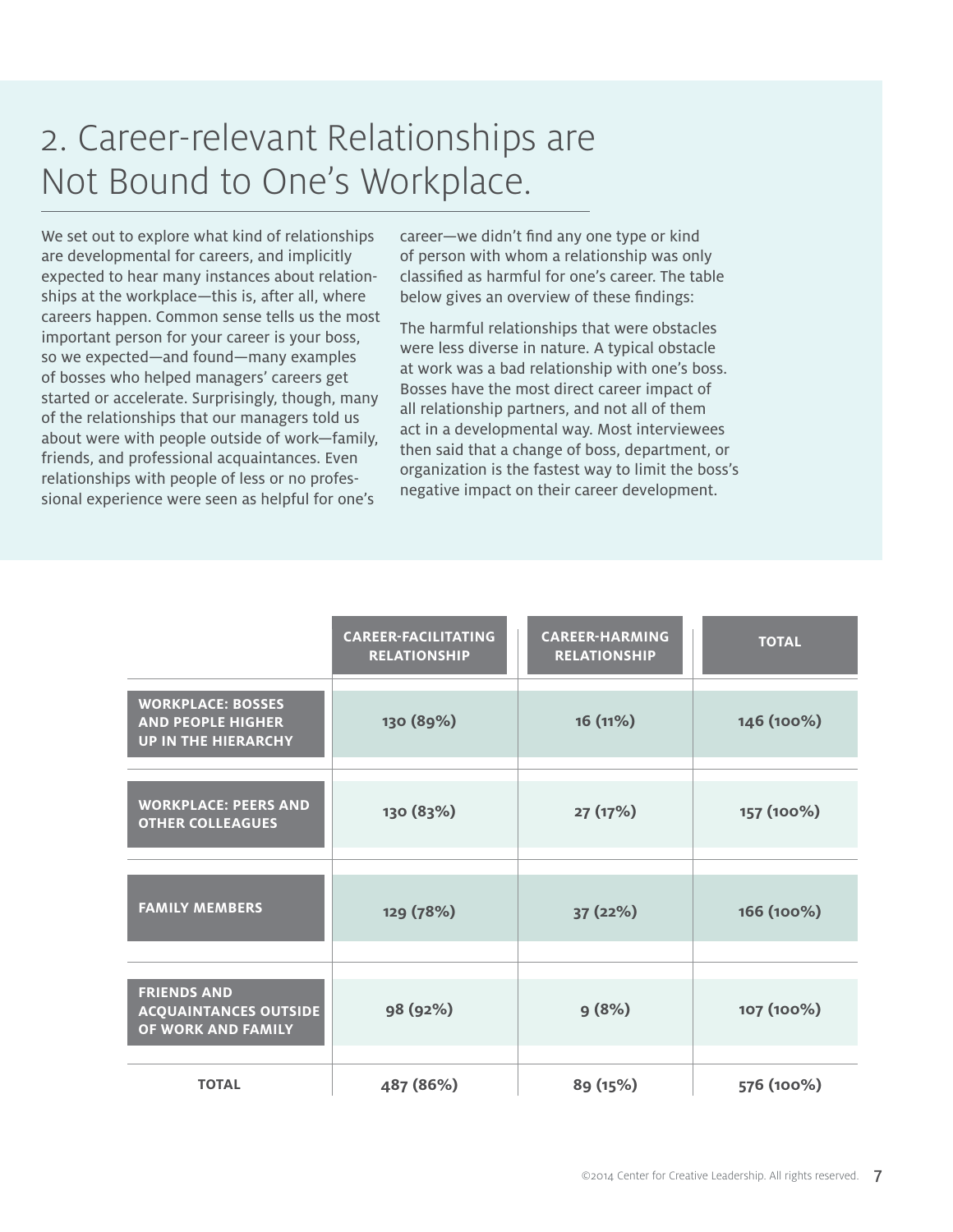# 2. Career-relevant Relationships are Not Bound to One's Workplace.

We set out to explore what kind of relationships are developmental for careers, and implicitly expected to hear many instances about relationships at the workplace—this is, after all, where careers happen. Common sense tells us the most important person for your career is your boss, so we expected—and found—many examples of bosses who helped managers' careers get started or accelerate. Surprisingly, though, many of the relationships that our managers told us about were with people outside of work—family, friends, and professional acquaintances. Even relationships with people of less or no professional experience were seen as helpful for one's

career—we didn't find any one type or kind of person with whom a relationship was only classified as harmful for one's career. The table below gives an overview of these findings:

The harmful relationships that were obstacles were less diverse in nature. A typical obstacle at work was a bad relationship with one's boss. Bosses have the most direct career impact of all relationship partners, and not all of them act in a developmental way. Most interviewees then said that a change of boss, department, or organization is the fastest way to limit the boss's negative impact on their career development.

|                                                                                    | <b>CAREER-FACILITATING</b><br><b>RELATIONSHIP</b> | <b>CAREER-HARMING</b><br><b>RELATIONSHIP</b> | <b>TOTAL</b> |
|------------------------------------------------------------------------------------|---------------------------------------------------|----------------------------------------------|--------------|
| <b>WORKPLACE: BOSSES</b><br><b>AND PEOPLE HIGHER</b><br><b>UP IN THE HIERARCHY</b> | 130 (89%)                                         | 16(11%)                                      | 146 (100%)   |
| <b>WORKPLACE: PEERS AND</b><br><b>OTHER COLLEAGUES</b>                             | 130 (83%)                                         | 27(17%)                                      | 157 (100%)   |
| <b>FAMILY MEMBERS</b>                                                              | 129 (78%)                                         | 37 (22%)                                     | 166 (100%)   |
| <b>FRIENDS AND</b><br><b>ACQUAINTANCES OUTSIDE</b><br>OF WORK AND FAMILY           | 98 (92%)                                          | 9(8%)                                        | 107 (100%)   |
| <b>TOTAL</b>                                                                       | 487 (86%)                                         | 89 (15%)                                     | 576 (100%)   |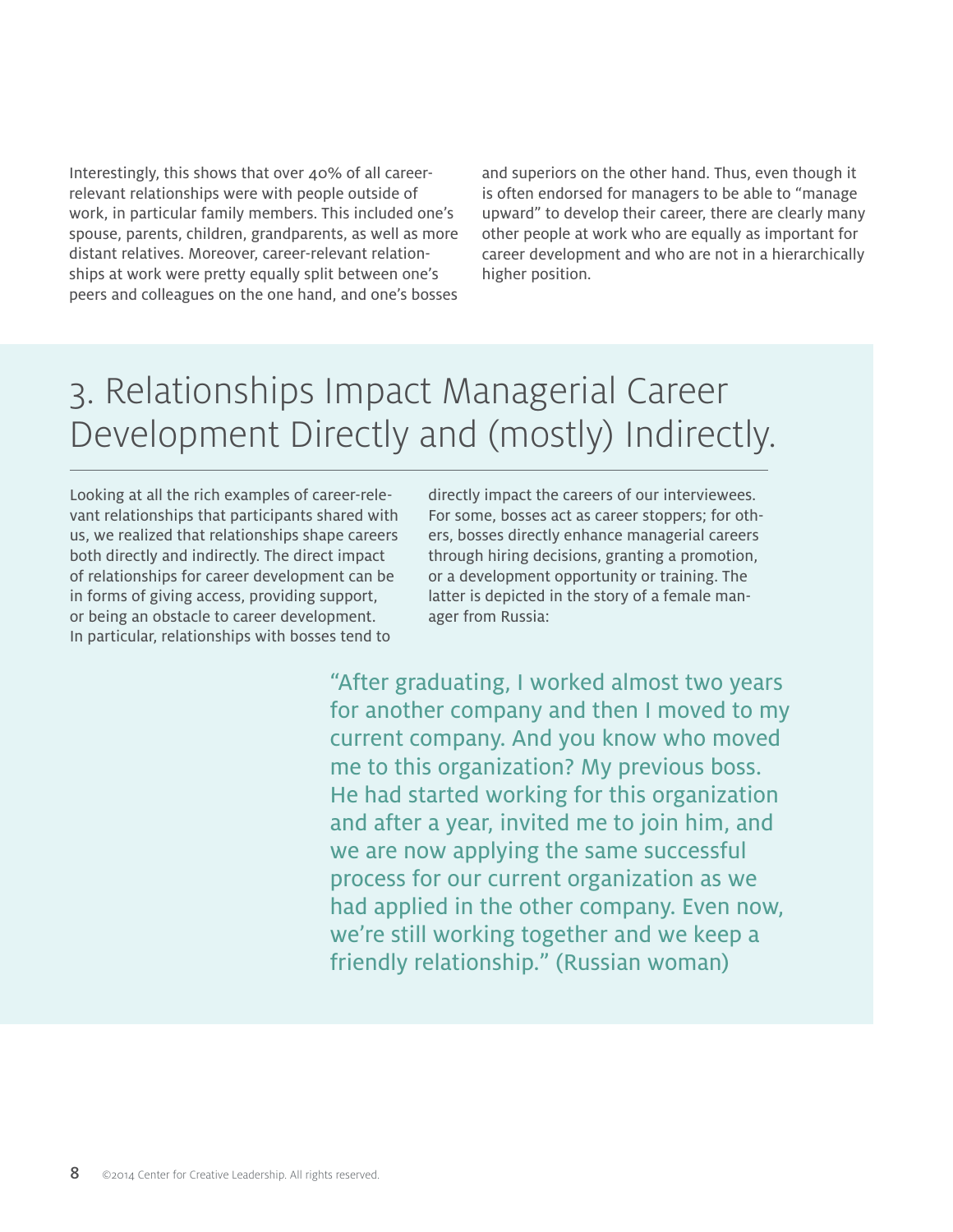Interestingly, this shows that over 40% of all careerrelevant relationships were with people outside of work, in particular family members. This included one's spouse, parents, children, grandparents, as well as more distant relatives. Moreover, career-relevant relationships at work were pretty equally split between one's peers and colleagues on the one hand, and one's bosses and superiors on the other hand. Thus, even though it is often endorsed for managers to be able to "manage upward" to develop their career, there are clearly many other people at work who are equally as important for career development and who are not in a hierarchically higher position.

# 3. Relationships Impact Managerial Career Development Directly and (mostly) Indirectly.

Looking at all the rich examples of career-relevant relationships that participants shared with us, we realized that relationships shape careers both directly and indirectly. The direct impact of relationships for career development can be in forms of giving access, providing support, or being an obstacle to career development. In particular, relationships with bosses tend to

directly impact the careers of our interviewees. For some, bosses act as career stoppers; for others, bosses directly enhance managerial careers through hiring decisions, granting a promotion, or a development opportunity or training. The latter is depicted in the story of a female manager from Russia:

"After graduating, I worked almost two years for another company and then I moved to my current company. And you know who moved me to this organization? My previous boss. He had started working for this organization and after a year, invited me to join him, and we are now applying the same successful process for our current organization as we had applied in the other company. Even now, we're still working together and we keep a friendly relationship." (Russian woman)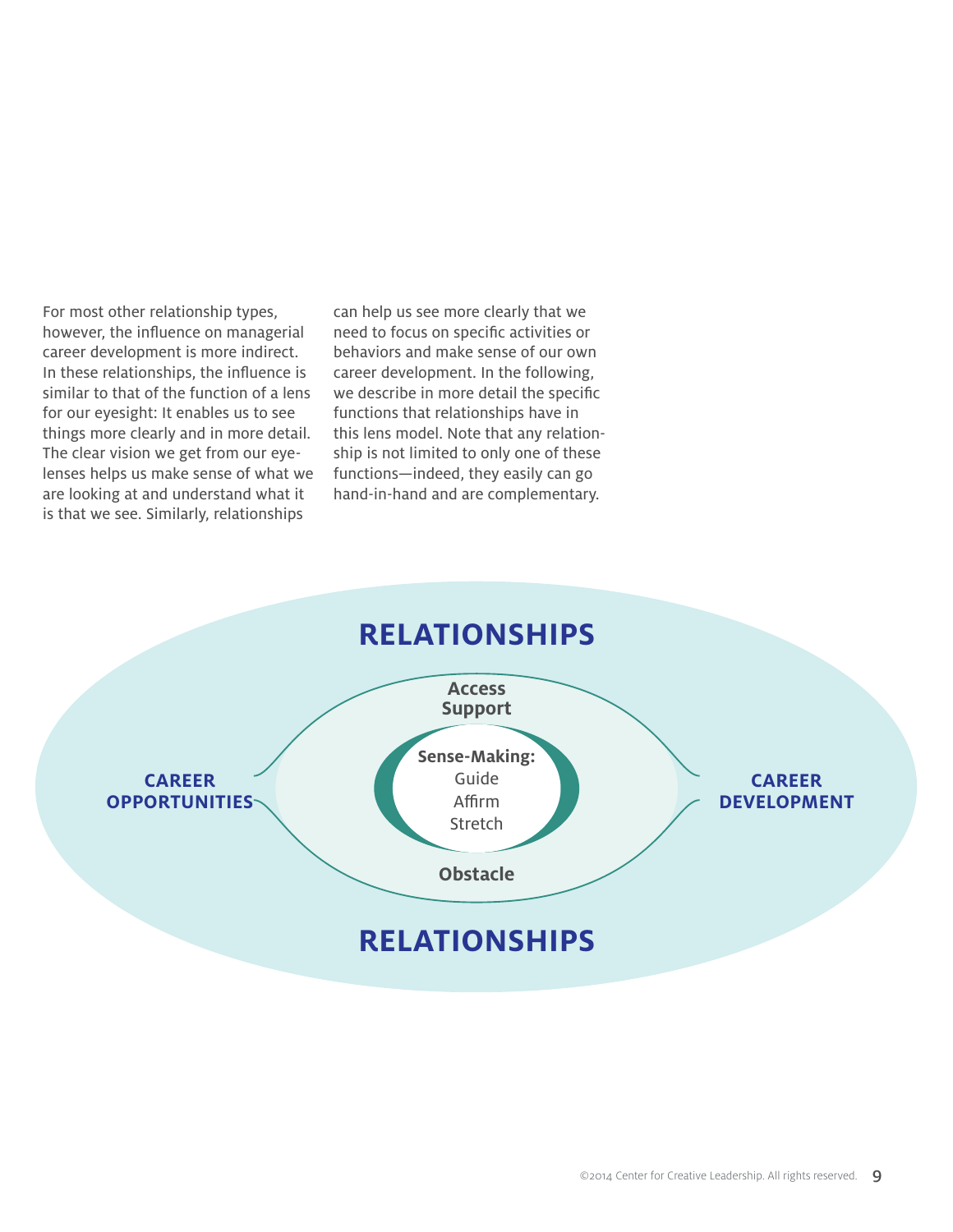For most other relationship types, however, the influence on managerial career development is more indirect. In these relationships, the influence is similar to that of the function of a lens for our eyesight: It enables us to see things more clearly and in more detail. The clear vision we get from our eyelenses helps us make sense of what we are looking at and understand what it is that we see. Similarly, relationships

can help us see more clearly that we need to focus on specific activities or behaviors and make sense of our own career development. In the following, we describe in more detail the specific functions that relationships have in this lens model. Note that any relationship is not limited to only one of these functions—indeed, they easily can go hand-in-hand and are complementary.

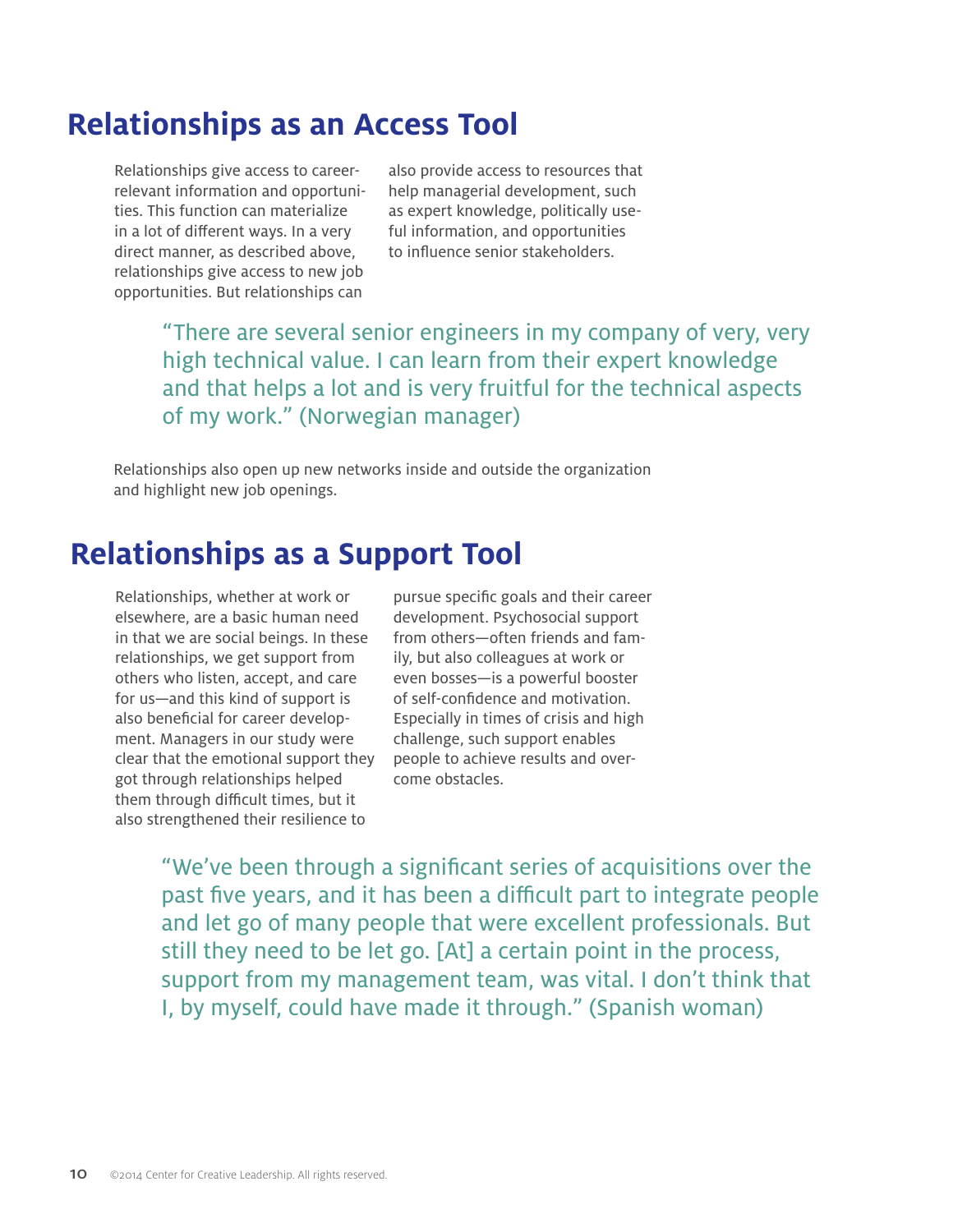### **Relationships as an Access Tool**

Relationships give access to careerrelevant information and opportunities. This function can materialize in a lot of different ways. In a very direct manner, as described above, relationships give access to new job opportunities. But relationships can

also provide access to resources that help managerial development, such as expert knowledge, politically useful information, and opportunities to influence senior stakeholders.

"There are several senior engineers in my company of very, very high technical value. I can learn from their expert knowledge and that helps a lot and is very fruitful for the technical aspects of my work." (Norwegian manager)

Relationships also open up new networks inside and outside the organization and highlight new job openings.

### **Relationships as a Support Tool**

Relationships, whether at work or elsewhere, are a basic human need in that we are social beings. In these relationships, we get support from others who listen, accept, and care for us—and this kind of support is also beneficial for career development. Managers in our study were clear that the emotional support they got through relationships helped them through difficult times, but it also strengthened their resilience to

pursue specific goals and their career development. Psychosocial support from others—often friends and family, but also colleagues at work or even bosses—is a powerful booster of self-confidence and motivation. Especially in times of crisis and high challenge, such support enables people to achieve results and overcome obstacles.

"We've been through a significant series of acquisitions over the past five years, and it has been a difficult part to integrate people and let go of many people that were excellent professionals. But still they need to be let go. [At] a certain point in the process, support from my management team, was vital. I don't think that I, by myself, could have made it through." (Spanish woman)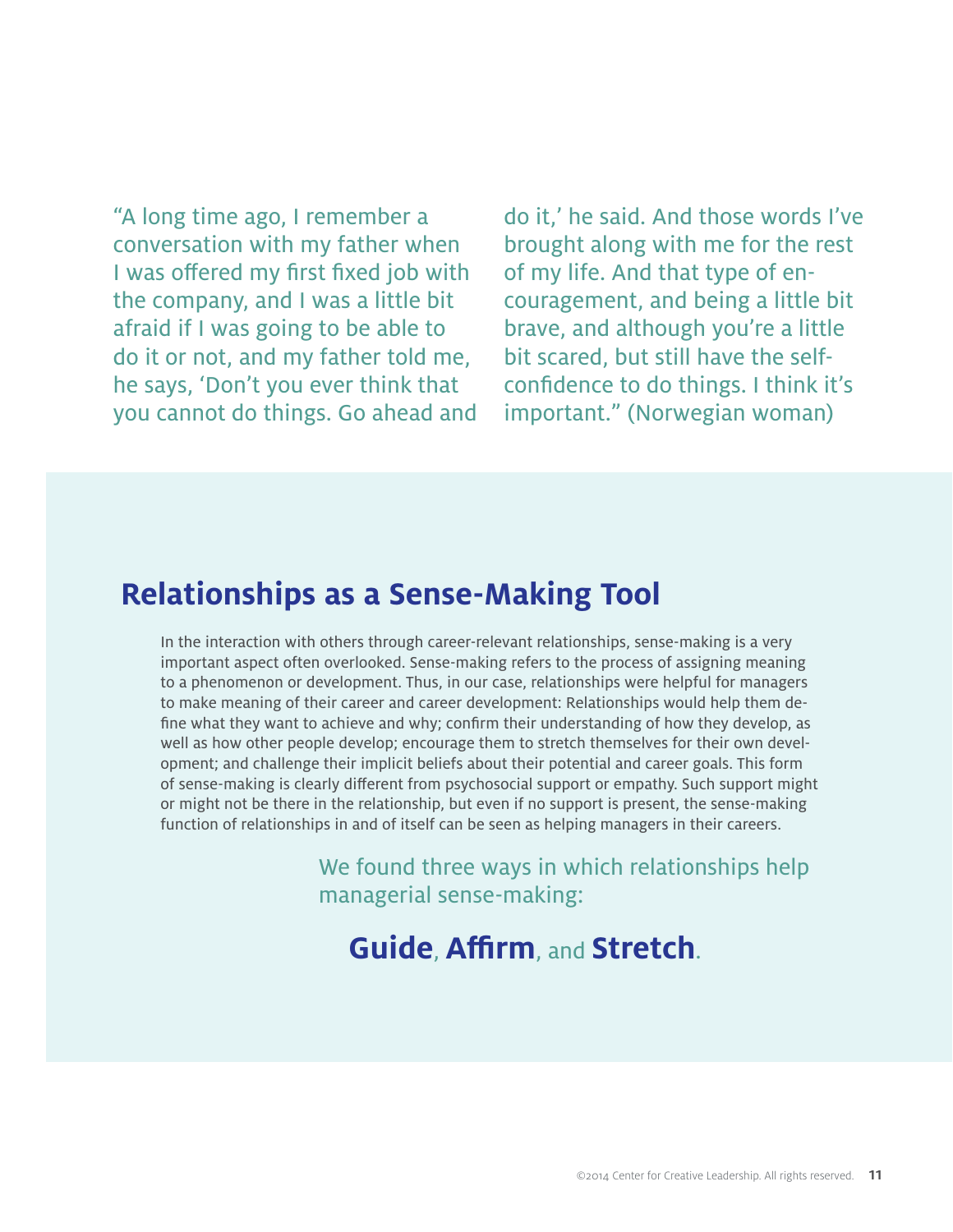"A long time ago, I remember a conversation with my father when I was offered my first fixed job with the company, and I was a little bit afraid if I was going to be able to do it or not, and my father told me, he says, 'Don't you ever think that you cannot do things. Go ahead and

do it,' he said. And those words I've brought along with me for the rest of my life. And that type of encouragement, and being a little bit brave, and although you're a little bit scared, but still have the selfconfidence to do things. I think it's important." (Norwegian woman)

#### **Relationships as a Sense-Making Tool**

In the interaction with others through career-relevant relationships, sense-making is a very important aspect often overlooked. Sense-making refers to the process of assigning meaning to a phenomenon or development. Thus, in our case, relationships were helpful for managers to make meaning of their career and career development: Relationships would help them define what they want to achieve and why; confirm their understanding of how they develop, as well as how other people develop; encourage them to stretch themselves for their own development; and challenge their implicit beliefs about their potential and career goals. This form of sense-making is clearly different from psychosocial support or empathy. Such support might or might not be there in the relationship, but even if no support is present, the sense-making function of relationships in and of itself can be seen as helping managers in their careers.

> We found three ways in which relationships help managerial sense-making:

**Guide**, **Affirm**, and **Stretch**.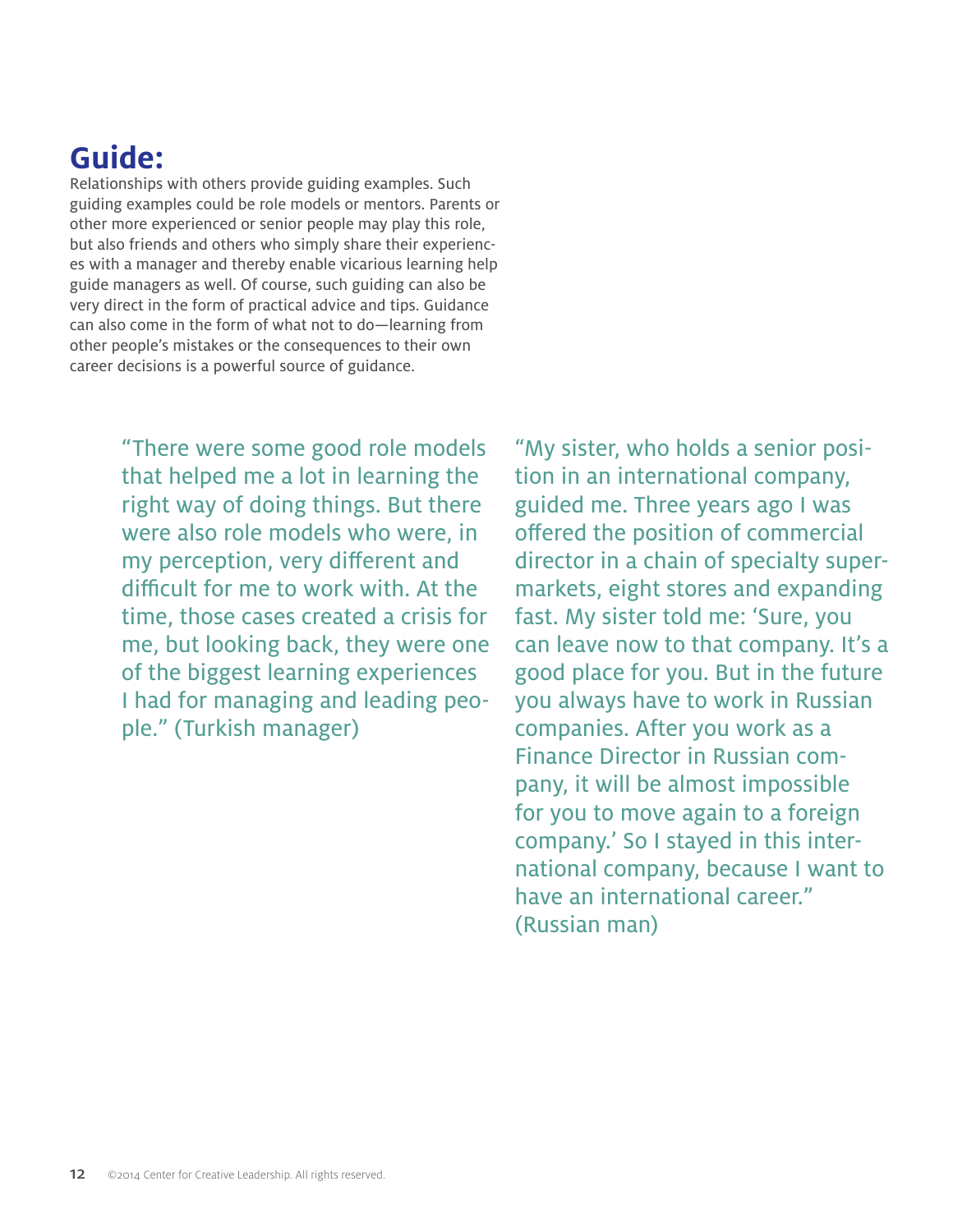## **Guide:**

Relationships with others provide guiding examples. Such guiding examples could be role models or mentors. Parents or other more experienced or senior people may play this role, but also friends and others who simply share their experiences with a manager and thereby enable vicarious learning help guide managers as well. Of course, such guiding can also be very direct in the form of practical advice and tips. Guidance can also come in the form of what not to do—learning from other people's mistakes or the consequences to their own career decisions is a powerful source of guidance.

> "There were some good role models that helped me a lot in learning the right way of doing things. But there were also role models who were, in my perception, very different and difficult for me to work with. At the time, those cases created a crisis for me, but looking back, they were one of the biggest learning experiences I had for managing and leading people." (Turkish manager)

"My sister, who holds a senior position in an international company, guided me. Three years ago I was offered the position of commercial director in a chain of specialty supermarkets, eight stores and expanding fast. My sister told me: 'Sure, you can leave now to that company. It's a good place for you. But in the future you always have to work in Russian companies. After you work as a Finance Director in Russian company, it will be almost impossible for you to move again to a foreign company.' So I stayed in this international company, because I want to have an international career." (Russian man)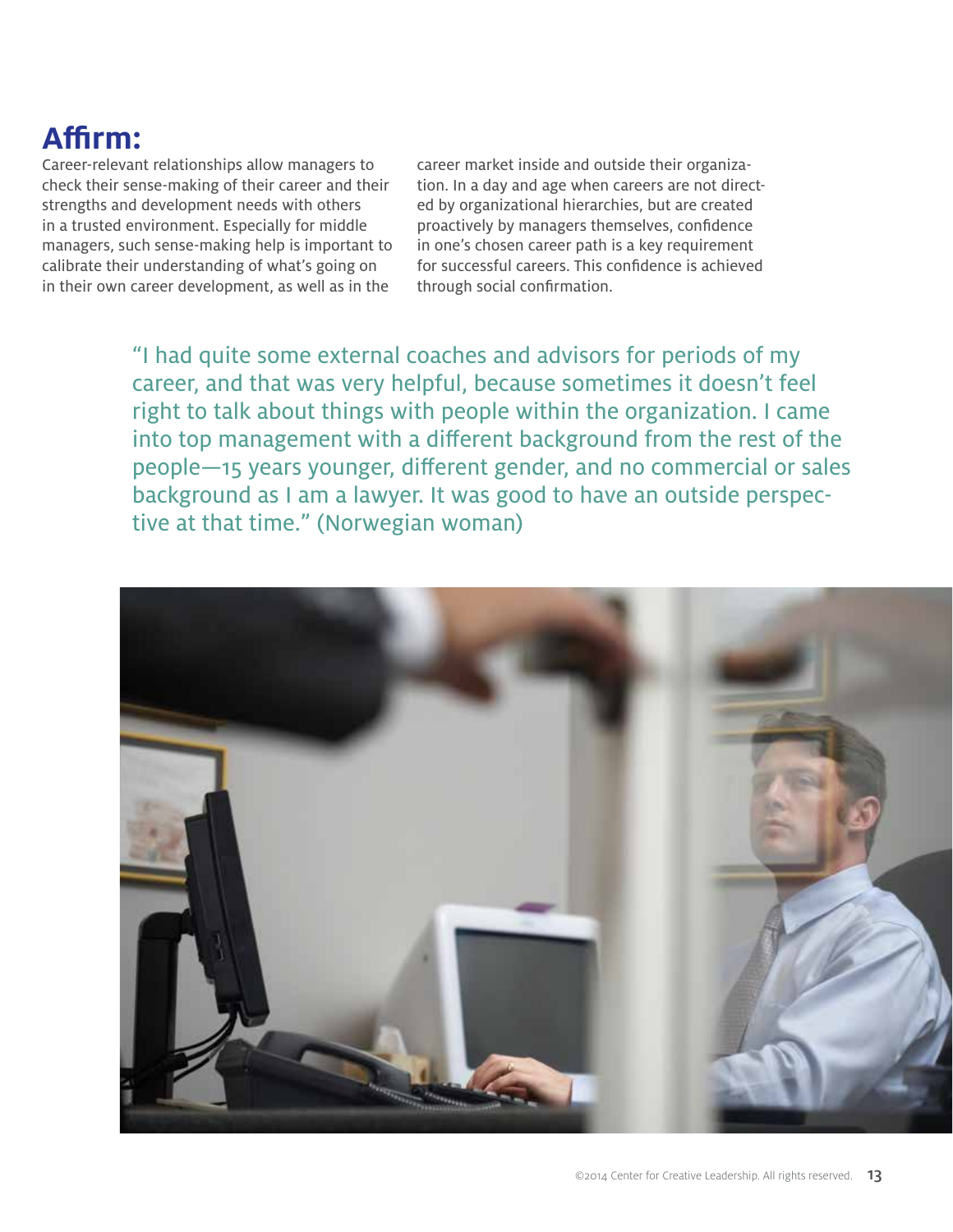## **Affirm:**

Career-relevant relationships allow managers to check their sense-making of their career and their strengths and development needs with others in a trusted environment. Especially for middle managers, such sense-making help is important to calibrate their understanding of what's going on in their own career development, as well as in the

career market inside and outside their organization. In a day and age when careers are not directed by organizational hierarchies, but are created proactively by managers themselves, confidence in one's chosen career path is a key requirement for successful careers. This confidence is achieved through social confirmation.

"I had quite some external coaches and advisors for periods of my career, and that was very helpful, because sometimes it doesn't feel right to talk about things with people within the organization. I came into top management with a different background from the rest of the people—15 years younger, different gender, and no commercial or sales background as I am a lawyer. It was good to have an outside perspective at that time." (Norwegian woman)

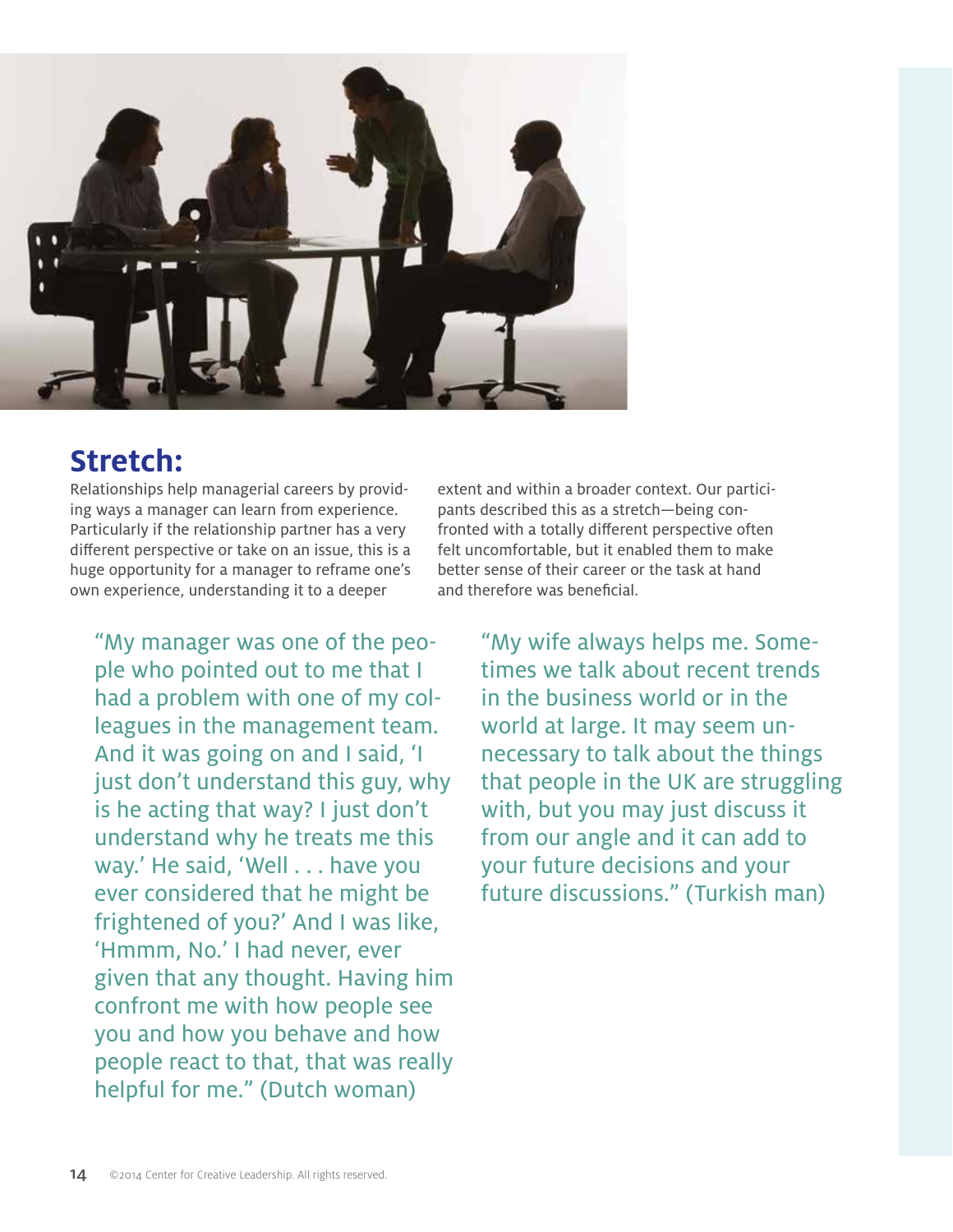

### **Stretch:**

Relationships help managerial careers by providing ways a manager can learn from experience. Particularly if the relationship partner has a very different perspective or take on an issue, this is a huge opportunity for a manager to reframe one's own experience, understanding it to a deeper

"My manager was one of the people who pointed out to me that I had a problem with one of my colleagues in the management team. And it was going on and I said, 'I just don't understand this guy, why is he acting that way? I just don't understand why he treats me this way.' He said, 'Well . . . have you ever considered that he might be frightened of you?' And I was like, 'Hmmm, No.' I had never, ever given that any thought. Having him confront me with how people see you and how you behave and how people react to that, that was really helpful for me." (Dutch woman)

extent and within a broader context. Our participants described this as a stretch—being confronted with a totally different perspective often felt uncomfortable, but it enabled them to make better sense of their career or the task at hand and therefore was beneficial.

> "My wife always helps me. Sometimes we talk about recent trends in the business world or in the world at large. It may seem unnecessary to talk about the things that people in the UK are struggling with, but you may just discuss it from our angle and it can add to your future decisions and your future discussions." (Turkish man)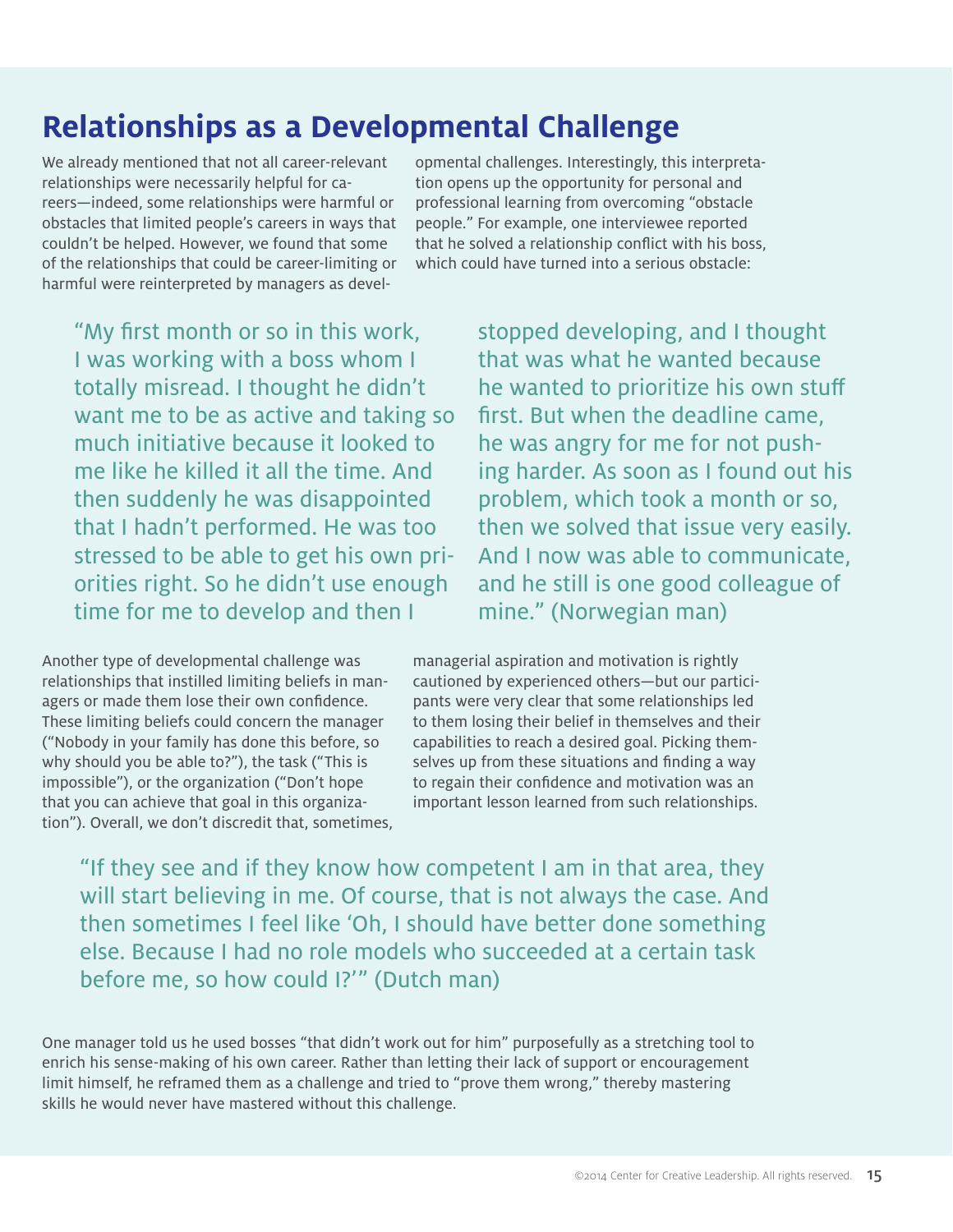## **Relationships as a Developmental Challenge**

We already mentioned that not all career-relevant relationships were necessarily helpful for careers—indeed, some relationships were harmful or obstacles that limited people's careers in ways that couldn't be helped. However, we found that some of the relationships that could be career-limiting or harmful were reinterpreted by managers as developmental challenges. Interestingly, this interpretation opens up the opportunity for personal and professional learning from overcoming "obstacle people." For example, one interviewee reported that he solved a relationship conflict with his boss, which could have turned into a serious obstacle:

"My first month or so in this work, I was working with a boss whom I totally misread. I thought he didn't want me to be as active and taking so much initiative because it looked to me like he killed it all the time. And then suddenly he was disappointed that I hadn't performed. He was too stressed to be able to get his own priorities right. So he didn't use enough time for me to develop and then I

stopped developing, and I thought that was what he wanted because he wanted to prioritize his own stuff first. But when the deadline came, he was angry for me for not pushing harder. As soon as I found out his problem, which took a month or so, then we solved that issue very easily. And I now was able to communicate, and he still is one good colleague of mine." (Norwegian man)

Another type of developmental challenge was relationships that instilled limiting beliefs in managers or made them lose their own confidence. These limiting beliefs could concern the manager ("Nobody in your family has done this before, so why should you be able to?"), the task ("This is impossible"), or the organization ("Don't hope that you can achieve that goal in this organization"). Overall, we don't discredit that, sometimes, managerial aspiration and motivation is rightly cautioned by experienced others—but our participants were very clear that some relationships led to them losing their belief in themselves and their capabilities to reach a desired goal. Picking themselves up from these situations and finding a way to regain their confidence and motivation was an important lesson learned from such relationships.

"If they see and if they know how competent I am in that area, they will start believing in me. Of course, that is not always the case. And then sometimes I feel like 'Oh, I should have better done something else. Because I had no role models who succeeded at a certain task before me, so how could I?'" (Dutch man)

One manager told us he used bosses "that didn't work out for him" purposefully as a stretching tool to enrich his sense-making of his own career. Rather than letting their lack of support or encouragement limit himself, he reframed them as a challenge and tried to "prove them wrong," thereby mastering skills he would never have mastered without this challenge.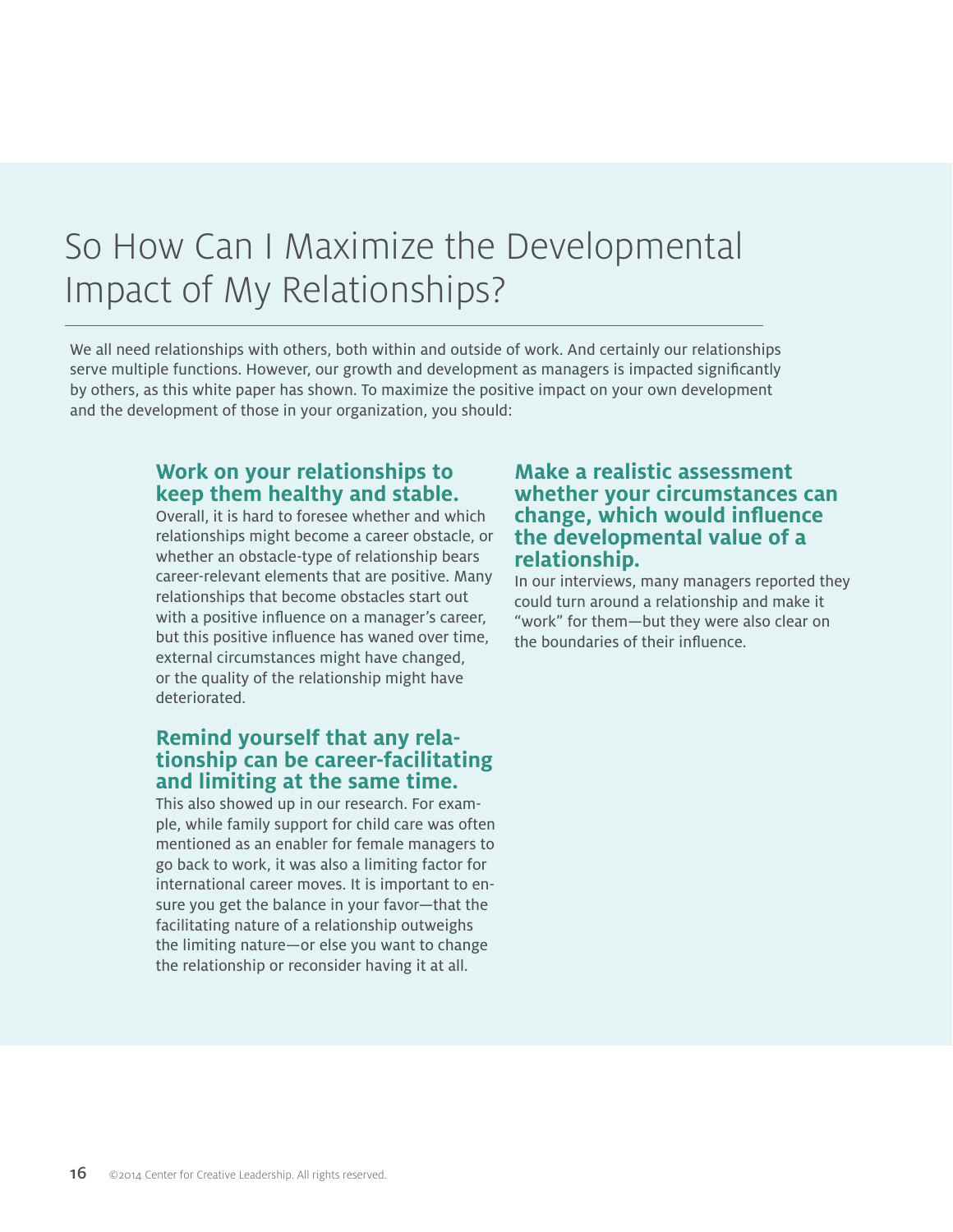# So How Can I Maximize the Developmental Impact of My Relationships?

We all need relationships with others, both within and outside of work. And certainly our relationships serve multiple functions. However, our growth and development as managers is impacted significantly by others, as this white paper has shown. To maximize the positive impact on your own development and the development of those in your organization, you should:

#### **Work on your relationships to keep them healthy and stable.**

Overall, it is hard to foresee whether and which relationships might become a career obstacle, or whether an obstacle-type of relationship bears career-relevant elements that are positive. Many relationships that become obstacles start out with a positive influence on a manager's career, but this positive influence has waned over time, external circumstances might have changed, or the quality of the relationship might have deteriorated.

### **Remind yourself that any rela- tionship can be career-facilitating and limiting at the same time.**

This also showed up in our research. For example, while family support for child care was often mentioned as an enabler for female managers to go back to work, it was also a limiting factor for international career moves. It is important to ensure you get the balance in your favor—that the facilitating nature of a relationship outweighs the limiting nature—or else you want to change the relationship or reconsider having it at all.

#### **Make a realistic assessment whether your circumstances can change, which would influence the developmental value of a relationship.**

In our interviews, many managers reported they could turn around a relationship and make it "work" for them—but they were also clear on the boundaries of their influence.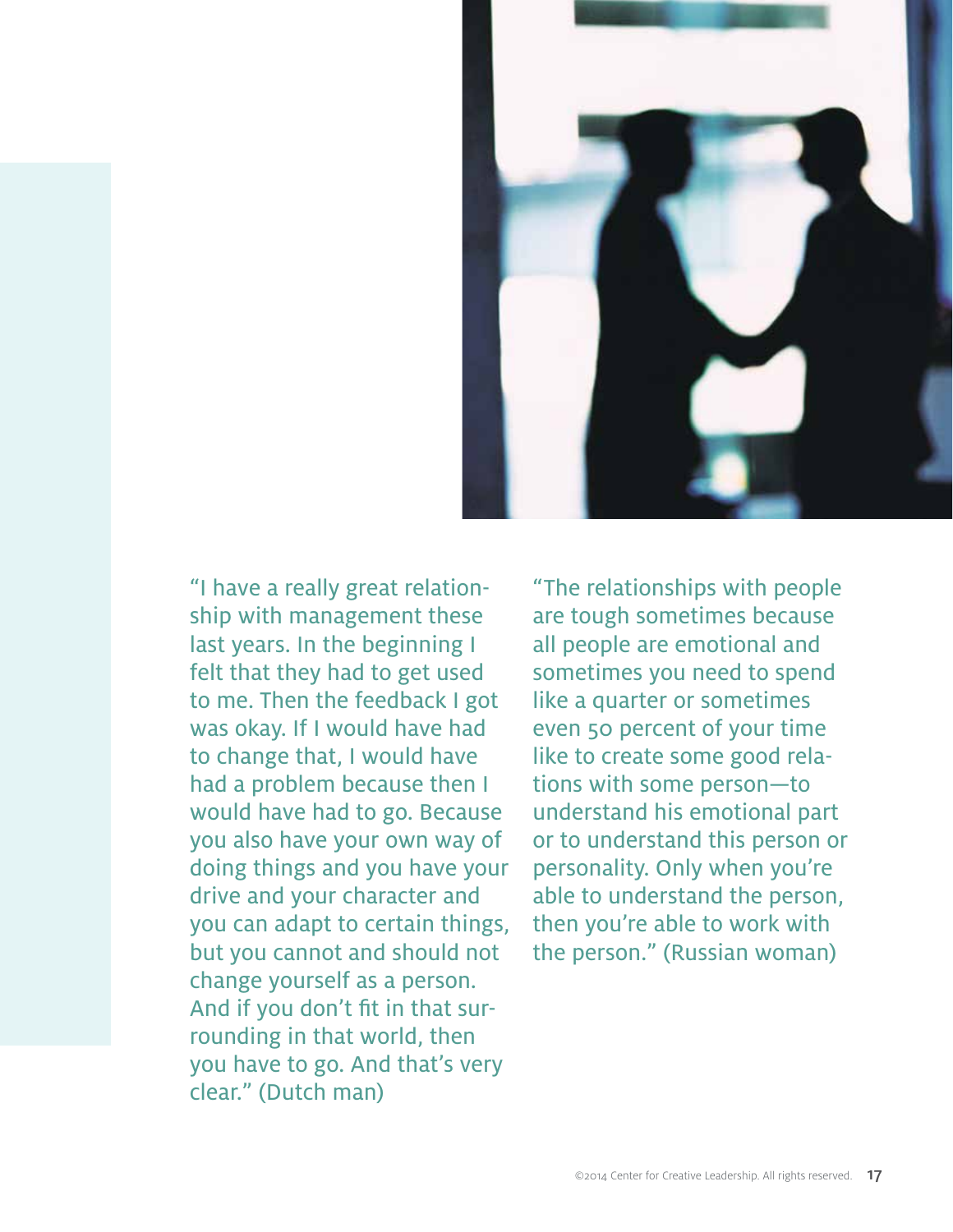

"I have a really great relationship with management these last years. In the beginning I felt that they had to get used to me. Then the feedback I got was okay. If I would have had to change that, I would have had a problem because then I would have had to go. Because you also have your own way of doing things and you have your drive and your character and you can adapt to certain things, but you cannot and should not change yourself as a person. And if you don't fit in that surrounding in that world, then you have to go. And that's very clear." (Dutch man)

"The relationships with people are tough sometimes because all people are emotional and sometimes you need to spend like a quarter or sometimes even 50 percent of your time like to create some good relations with some person—to understand his emotional part or to understand this person or personality. Only when you're able to understand the person, then you're able to work with the person." (Russian woman)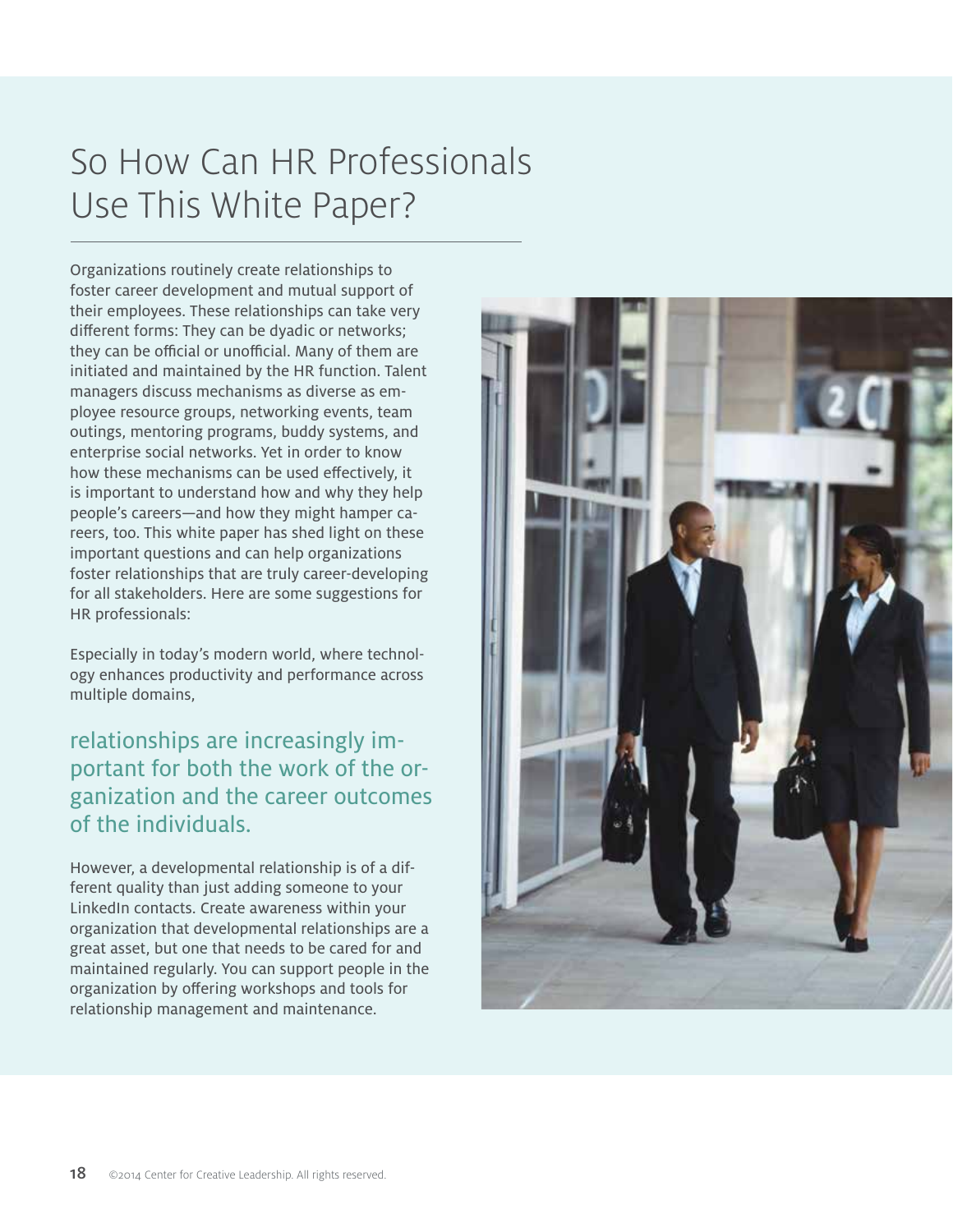# So How Can HR Professionals Use This White Paper?

Organizations routinely create relationships to foster career development and mutual support of their employees. These relationships can take very different forms: They can be dyadic or networks; they can be official or unofficial. Many of them are initiated and maintained by the HR function. Talent managers discuss mechanisms as diverse as employee resource groups, networking events, team outings, mentoring programs, buddy systems, and enterprise social networks. Yet in order to know how these mechanisms can be used effectively, it is important to understand how and why they help people's careers—and how they might hamper careers, too. This white paper has shed light on these important questions and can help organizations foster relationships that are truly career-developing for all stakeholders. Here are some suggestions for HR professionals:

Especially in today's modern world, where technology enhances productivity and performance across multiple domains,

relationships are increasingly important for both the work of the organization and the career outcomes of the individuals.

However, a developmental relationship is of a different quality than just adding someone to your LinkedIn contacts. Create awareness within your organization that developmental relationships are a great asset, but one that needs to be cared for and maintained regularly. You can support people in the organization by offering workshops and tools for relationship management and maintenance.

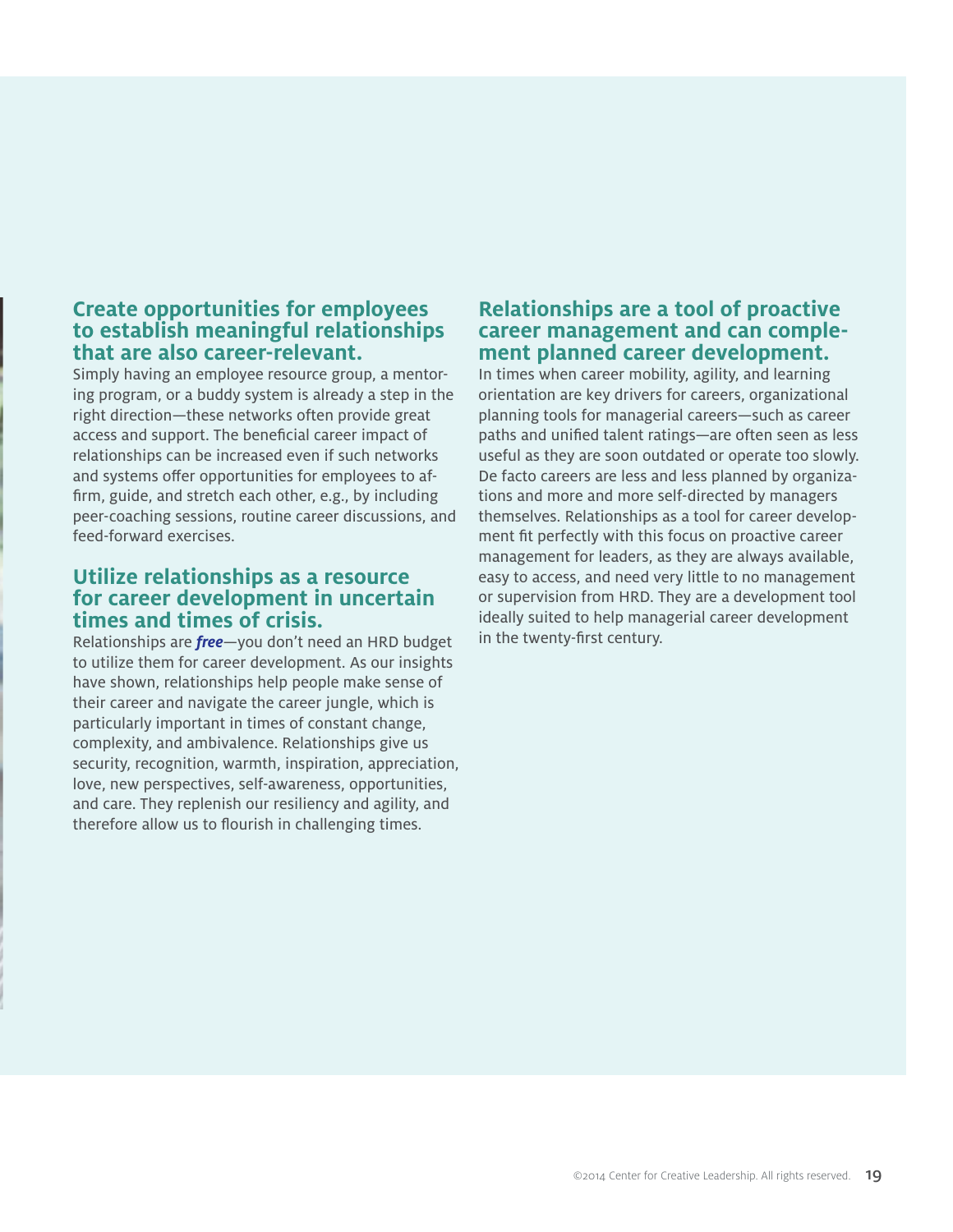#### **Create opportunities for employees to establish meaningful relationships that are also career-relevant.**

Simply having an employee resource group, a mentoring program, or a buddy system is already a step in the right direction—these networks often provide great access and support. The beneficial career impact of relationships can be increased even if such networks and systems offer opportunities for employees to affirm, guide, and stretch each other, e.g., by including peer-coaching sessions, routine career discussions, and feed-forward exercises.

#### **Utilize relationships as a resource for career development in uncertain times and times of crisis.**

Relationships are *free*—you don't need an HRD budget to utilize them for career development. As our insights have shown, relationships help people make sense of their career and navigate the career jungle, which is particularly important in times of constant change, complexity, and ambivalence. Relationships give us security, recognition, warmth, inspiration, appreciation, love, new perspectives, self-awareness, opportunities, and care. They replenish our resiliency and agility, and therefore allow us to flourish in challenging times.

#### **Relationships are a tool of proactive career management and can comple- ment planned career development.**

In times when career mobility, agility, and learning orientation are key drivers for careers, organizational planning tools for managerial careers—such as career paths and unified talent ratings—are often seen as less useful as they are soon outdated or operate too slowly. De facto careers are less and less planned by organizations and more and more self-directed by managers themselves. Relationships as a tool for career development fit perfectly with this focus on proactive career management for leaders, as they are always available, easy to access, and need very little to no management or supervision from HRD. They are a development tool ideally suited to help managerial career development in the twenty-first century.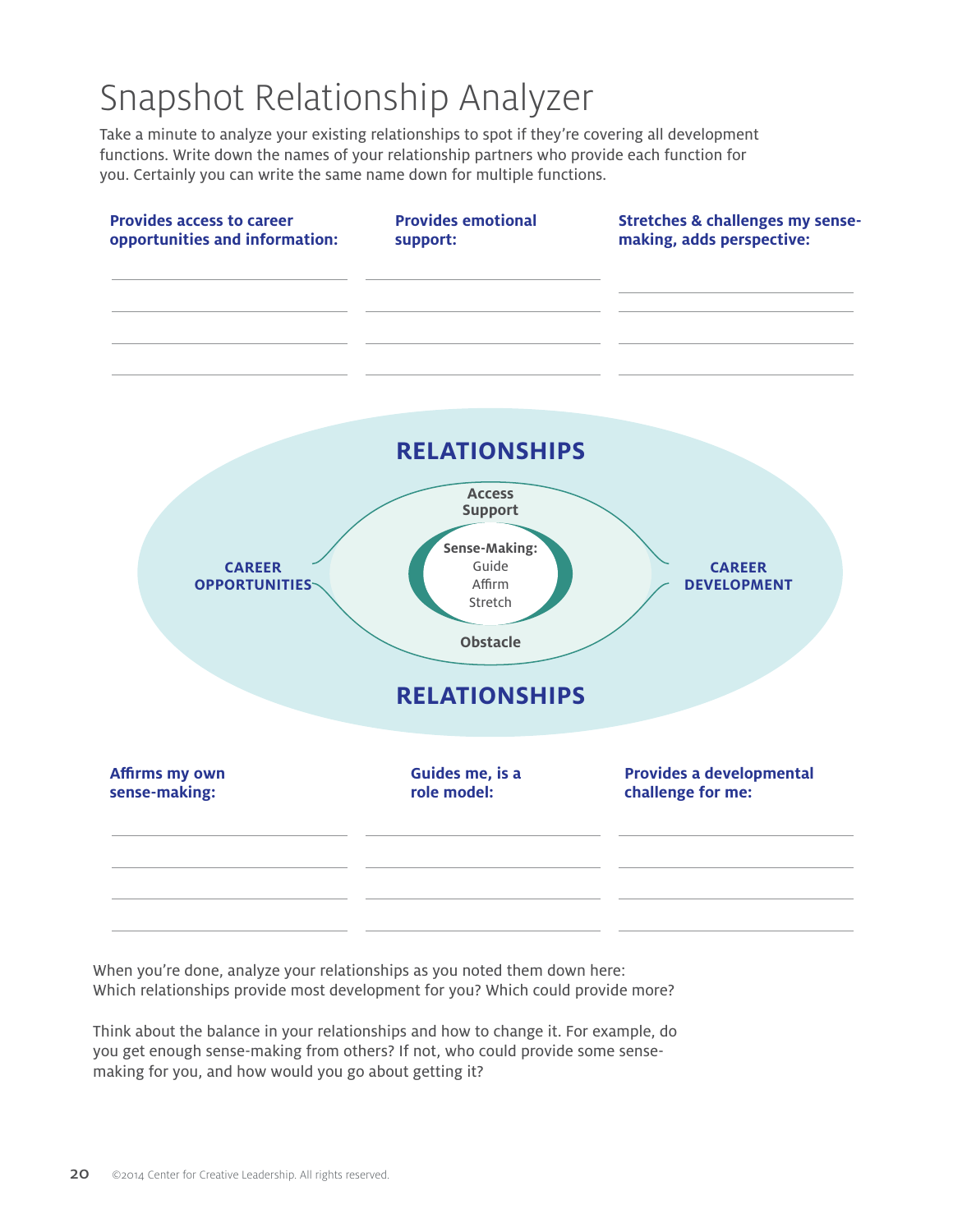# Snapshot Relationship Analyzer

Take a minute to analyze your existing relationships to spot if they're covering all development functions. Write down the names of your relationship partners who provide each function for you. Certainly you can write the same name down for multiple functions.



When you're done, analyze your relationships as you noted them down here: Which relationships provide most development for you? Which could provide more?

Think about the balance in your relationships and how to change it. For example, do you get enough sense-making from others? If not, who could provide some sensemaking for you, and how would you go about getting it?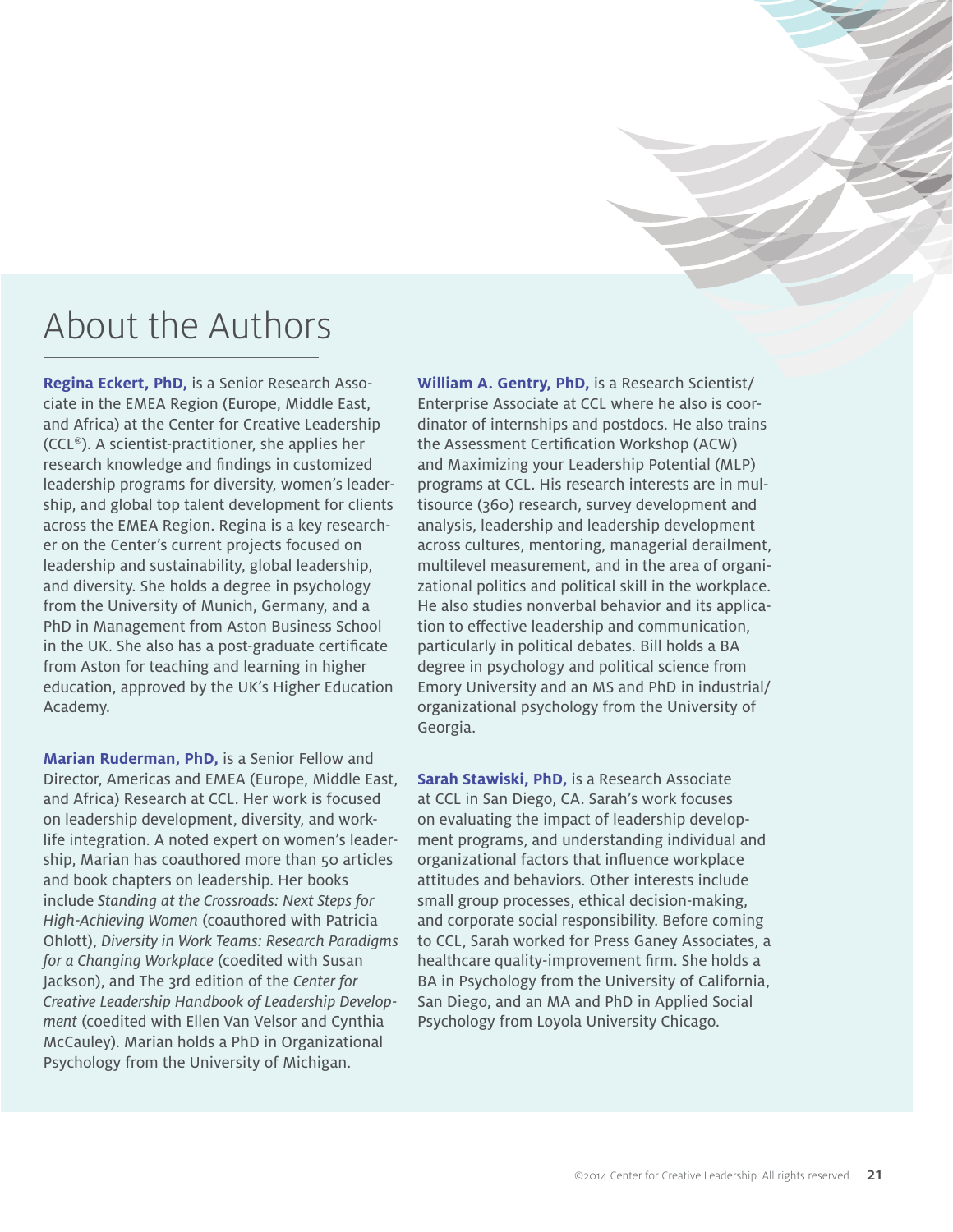## About the Authors

**Regina Eckert, PhD,** is a Senior Research Associate in the EMEA Region (Europe, Middle East, and Africa) at the Center for Creative Leadership (CCL®). A scientist-practitioner, she applies her research knowledge and findings in customized leadership programs for diversity, women's leadership, and global top talent development for clients across the EMEA Region. Regina is a key researcher on the Center's current projects focused on leadership and sustainability, global leadership, and diversity. She holds a degree in psychology from the University of Munich, Germany, and a PhD in Management from Aston Business School in the UK. She also has a post-graduate certificate from Aston for teaching and learning in higher education, approved by the UK's Higher Education Academy.

**Marian Ruderman, PhD,** is a Senior Fellow and Director, Americas and EMEA (Europe, Middle East, and Africa) Research at CCL. Her work is focused on leadership development, diversity, and worklife integration. A noted expert on women's leadership, Marian has coauthored more than 50 articles and book chapters on leadership. Her books include *Standing at the Crossroads: Next Steps for High-Achieving Women* (coauthored with Patricia Ohlott), *Diversity in Work Teams: Research Paradigms for a Changing Workplace* (coedited with Susan Jackson), and The 3rd edition of the *Center for Creative Leadership Handbook of Leadership Development* (coedited with Ellen Van Velsor and Cynthia McCauley). Marian holds a PhD in Organizational Psychology from the University of Michigan.

**William A. Gentry, PhD,** is a Research Scientist/ Enterprise Associate at CCL where he also is coordinator of internships and postdocs. He also trains the Assessment Certification Workshop (ACW) and Maximizing your Leadership Potential (MLP) programs at CCL. His research interests are in multisource (360) research, survey development and analysis, leadership and leadership development across cultures, mentoring, managerial derailment, multilevel measurement, and in the area of organizational politics and political skill in the workplace. He also studies nonverbal behavior and its application to effective leadership and communication, particularly in political debates. Bill holds a BA degree in psychology and political science from Emory University and an MS and PhD in industrial/ organizational psychology from the University of Georgia.

**Sarah Stawiski, PhD,** is a Research Associate at CCL in San Diego, CA. Sarah's work focuses on evaluating the impact of leadership development programs, and understanding individual and organizational factors that influence workplace attitudes and behaviors. Other interests include small group processes, ethical decision-making, and corporate social responsibility. Before coming to CCL, Sarah worked for Press Ganey Associates, a healthcare quality-improvement firm. She holds a BA in Psychology from the University of California, San Diego, and an MA and PhD in Applied Social Psychology from Loyola University Chicago.